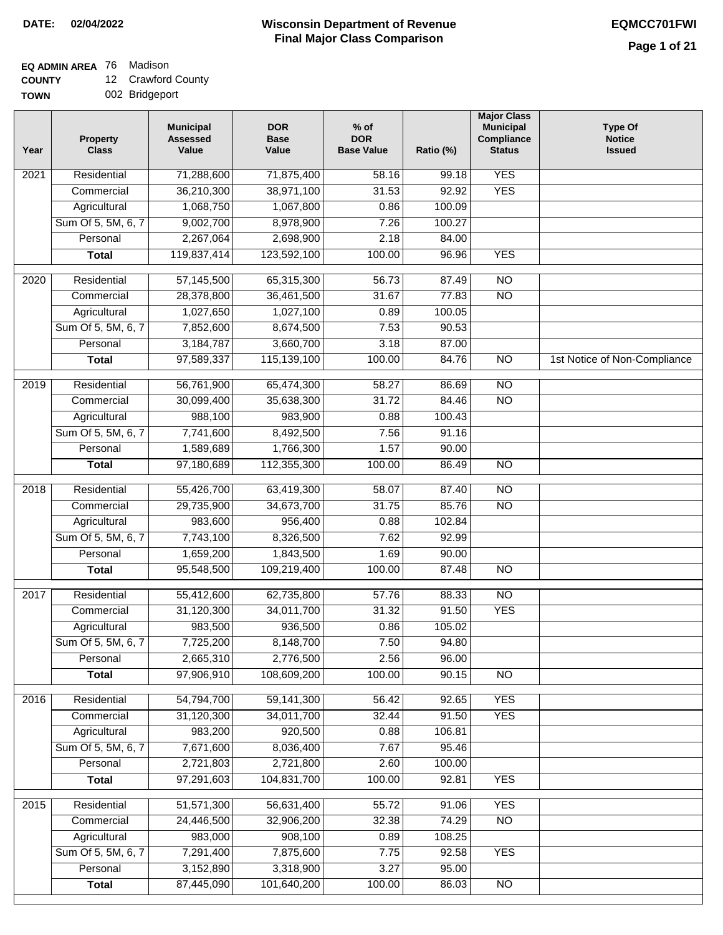### **Wisconsin Department of Revenue Final Major Class Comparison DATE: 02/04/2022 EQMCC701FWI**

### **EQ ADMIN AREA** 76 Madison

**COUNTY** 12 Crawford County

| ------      |                |
|-------------|----------------|
| <b>TOWN</b> | 002 Bridgeport |

| Year | <b>Property</b><br><b>Class</b> | <b>Municipal</b><br><b>Assessed</b><br>Value | <b>DOR</b><br><b>Base</b><br>Value | $%$ of<br><b>DOR</b><br><b>Base Value</b> | Ratio (%) | <b>Major Class</b><br><b>Municipal</b><br>Compliance<br><b>Status</b> | <b>Type Of</b><br><b>Notice</b><br><b>Issued</b> |
|------|---------------------------------|----------------------------------------------|------------------------------------|-------------------------------------------|-----------|-----------------------------------------------------------------------|--------------------------------------------------|
| 2021 | Residential                     | 71,288,600                                   | 71,875,400                         | 58.16                                     | 99.18     | <b>YES</b>                                                            |                                                  |
|      | Commercial                      | 36,210,300                                   | 38,971,100                         | 31.53                                     | 92.92     | <b>YES</b>                                                            |                                                  |
|      | Agricultural                    | 1,068,750                                    | 1,067,800                          | 0.86                                      | 100.09    |                                                                       |                                                  |
|      | Sum Of 5, 5M, 6, 7              | 9,002,700                                    | 8,978,900                          | 7.26                                      | 100.27    |                                                                       |                                                  |
|      | Personal                        | 2,267,064                                    | 2,698,900                          | 2.18                                      | 84.00     |                                                                       |                                                  |
|      | <b>Total</b>                    | 119,837,414                                  | 123,592,100                        | 100.00                                    | 96.96     | <b>YES</b>                                                            |                                                  |
| 2020 | Residential                     | 57,145,500                                   | 65,315,300                         | 56.73                                     | 87.49     | $\overline{NO}$                                                       |                                                  |
|      | Commercial                      | 28,378,800                                   | 36,461,500                         | 31.67                                     | 77.83     | $\overline{NO}$                                                       |                                                  |
|      | Agricultural                    | 1,027,650                                    | 1,027,100                          | 0.89                                      | 100.05    |                                                                       |                                                  |
|      | Sum Of 5, 5M, 6, 7              | 7,852,600                                    | 8,674,500                          | 7.53                                      | 90.53     |                                                                       |                                                  |
|      | Personal                        | 3,184,787                                    | 3,660,700                          | 3.18                                      | 87.00     |                                                                       |                                                  |
|      | <b>Total</b>                    | 97,589,337                                   | 115,139,100                        | 100.00                                    | 84.76     | $\overline{NO}$                                                       | 1st Notice of Non-Compliance                     |
| 2019 | Residential                     | 56,761,900                                   | 65,474,300                         | 58.27                                     | 86.69     | $\overline{10}$                                                       |                                                  |
|      | Commercial                      | 30,099,400                                   | 35,638,300                         | 31.72                                     | 84.46     | $\overline{NO}$                                                       |                                                  |
|      | Agricultural                    | 988,100                                      | 983,900                            | 0.88                                      | 100.43    |                                                                       |                                                  |
|      | Sum Of 5, 5M, 6, 7              | 7,741,600                                    | 8,492,500                          | 7.56                                      | 91.16     |                                                                       |                                                  |
|      | Personal                        | 1,589,689                                    | 1,766,300                          | 1.57                                      | 90.00     |                                                                       |                                                  |
|      | <b>Total</b>                    | 97,180,689                                   | 112,355,300                        | 100.00                                    | 86.49     | $\overline{NO}$                                                       |                                                  |
| 2018 | Residential                     | 55,426,700                                   | 63,419,300                         | 58.07                                     | 87.40     | $\overline{NO}$                                                       |                                                  |
|      | Commercial                      | 29,735,900                                   | 34,673,700                         | 31.75                                     | 85.76     | <b>NO</b>                                                             |                                                  |
|      | Agricultural                    | 983,600                                      | 956,400                            | 0.88                                      | 102.84    |                                                                       |                                                  |
|      | Sum Of 5, 5M, 6, 7              | 7,743,100                                    | 8,326,500                          | 7.62                                      | 92.99     |                                                                       |                                                  |
|      | Personal                        | 1,659,200                                    | 1,843,500                          | 1.69                                      | 90.00     |                                                                       |                                                  |
|      | <b>Total</b>                    | 95,548,500                                   | 109,219,400                        | 100.00                                    | 87.48     | $\overline{10}$                                                       |                                                  |
|      |                                 |                                              |                                    |                                           |           |                                                                       |                                                  |
| 2017 | Residential                     | 55,412,600                                   | 62,735,800                         | 57.76                                     | 88.33     | $\overline{NO}$                                                       |                                                  |
|      | Commercial                      | 31,120,300                                   | 34,011,700                         | 31.32                                     | 91.50     | <b>YES</b>                                                            |                                                  |
|      | Agricultural                    | 983,500                                      | 936,500                            | 0.86                                      | 105.02    |                                                                       |                                                  |
|      | Sum Of 5, 5M, 6, 7              | 7,725,200                                    | 8,148,700                          | 7.50                                      | 94.80     |                                                                       |                                                  |
|      | Personal                        | 2,665,310                                    | 2,776,500                          | 2.56                                      | 96.00     |                                                                       |                                                  |
|      | <b>Total</b>                    | 97,906,910                                   | 108,609,200                        | 100.00                                    | 90.15     | $\overline{NO}$                                                       |                                                  |
| 2016 | Residential                     | 54,794,700                                   | 59,141,300                         | 56.42                                     | 92.65     | <b>YES</b>                                                            |                                                  |
|      | Commercial                      | 31,120,300                                   | 34,011,700                         | 32.44                                     | 91.50     | <b>YES</b>                                                            |                                                  |
|      | Agricultural                    | 983,200                                      | 920,500                            | 0.88                                      | 106.81    |                                                                       |                                                  |
|      | Sum Of 5, 5M, 6, 7              | 7,671,600                                    | 8,036,400                          | 7.67                                      | 95.46     |                                                                       |                                                  |
|      | Personal                        | 2,721,803                                    | 2,721,800                          | 2.60                                      | 100.00    |                                                                       |                                                  |
|      | <b>Total</b>                    | 97,291,603                                   | 104,831,700                        | 100.00                                    | 92.81     | <b>YES</b>                                                            |                                                  |
| 2015 | Residential                     | 51,571,300                                   | 56,631,400                         | 55.72                                     | 91.06     | <b>YES</b>                                                            |                                                  |
|      | Commercial                      | 24,446,500                                   | 32,906,200                         | 32.38                                     | 74.29     | $\overline{NO}$                                                       |                                                  |
|      | Agricultural                    | 983,000                                      | 908,100                            | 0.89                                      | 108.25    |                                                                       |                                                  |
|      | Sum Of 5, 5M, 6, 7              | 7,291,400                                    | 7,875,600                          | 7.75                                      | 92.58     | <b>YES</b>                                                            |                                                  |
|      | Personal                        | 3,152,890                                    | 3,318,900                          | 3.27                                      | 95.00     |                                                                       |                                                  |
|      | <b>Total</b>                    | 87,445,090                                   | 101,640,200                        | 100.00                                    | 86.03     | $\overline{NO}$                                                       |                                                  |
|      |                                 |                                              |                                    |                                           |           |                                                                       |                                                  |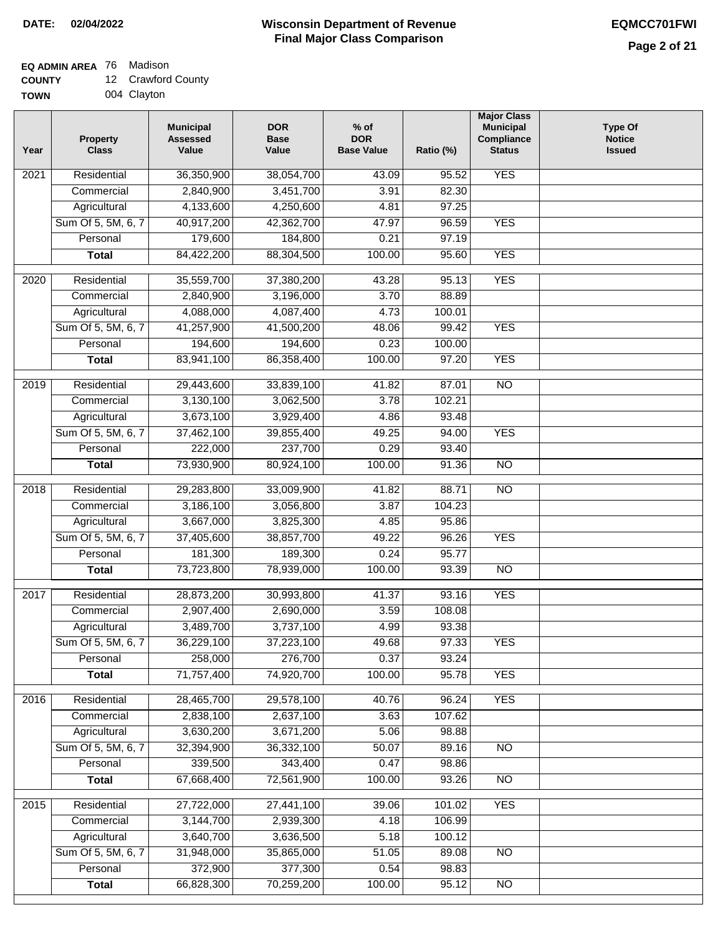### **EQ ADMIN AREA** 76 Madison

**COUNTY** 12 Crawford County

**TOWN** 004 Clayton

| Year | <b>Property</b><br><b>Class</b> | <b>Municipal</b><br><b>Assessed</b><br>Value | <b>DOR</b><br><b>Base</b><br>Value | $%$ of<br><b>DOR</b><br><b>Base Value</b> | Ratio (%) | <b>Major Class</b><br><b>Municipal</b><br>Compliance<br><b>Status</b> | <b>Type Of</b><br><b>Notice</b><br><b>Issued</b> |
|------|---------------------------------|----------------------------------------------|------------------------------------|-------------------------------------------|-----------|-----------------------------------------------------------------------|--------------------------------------------------|
| 2021 | Residential                     | 36,350,900                                   | 38,054,700                         | 43.09                                     | 95.52     | <b>YES</b>                                                            |                                                  |
|      | Commercial                      | 2,840,900                                    | 3,451,700                          | 3.91                                      | 82.30     |                                                                       |                                                  |
|      | Agricultural                    | 4,133,600                                    | 4,250,600                          | 4.81                                      | 97.25     |                                                                       |                                                  |
|      | Sum Of 5, 5M, 6, 7              | 40,917,200                                   | 42,362,700                         | 47.97                                     | 96.59     | <b>YES</b>                                                            |                                                  |
|      | Personal                        | 179,600                                      | 184,800                            | 0.21                                      | 97.19     |                                                                       |                                                  |
|      | <b>Total</b>                    | 84,422,200                                   | 88,304,500                         | 100.00                                    | 95.60     | <b>YES</b>                                                            |                                                  |
| 2020 | Residential                     | 35,559,700                                   | 37,380,200                         | 43.28                                     | 95.13     | <b>YES</b>                                                            |                                                  |
|      | Commercial                      | 2,840,900                                    | 3,196,000                          | 3.70                                      | 88.89     |                                                                       |                                                  |
|      | Agricultural                    | 4,088,000                                    | 4,087,400                          | 4.73                                      | 100.01    |                                                                       |                                                  |
|      | Sum Of 5, 5M, 6, 7              | 41,257,900                                   | 41,500,200                         | 48.06                                     | 99.42     | <b>YES</b>                                                            |                                                  |
|      | Personal                        | 194,600                                      | 194,600                            | 0.23                                      | 100.00    |                                                                       |                                                  |
|      | <b>Total</b>                    | 83,941,100                                   | 86,358,400                         | 100.00                                    | 97.20     | <b>YES</b>                                                            |                                                  |
| 2019 | Residential                     | 29,443,600                                   | 33,839,100                         | 41.82                                     | 87.01     | $\overline{10}$                                                       |                                                  |
|      | Commercial                      | 3,130,100                                    | 3,062,500                          | 3.78                                      | 102.21    |                                                                       |                                                  |
|      | Agricultural                    | 3,673,100                                    | 3,929,400                          | 4.86                                      | 93.48     |                                                                       |                                                  |
|      | Sum Of 5, 5M, 6, 7              | 37,462,100                                   | 39,855,400                         | 49.25                                     | 94.00     | <b>YES</b>                                                            |                                                  |
|      | Personal                        | 222,000                                      | 237,700                            | 0.29                                      | 93.40     |                                                                       |                                                  |
|      | <b>Total</b>                    | 73,930,900                                   | 80,924,100                         | 100.00                                    | 91.36     | $\overline{NO}$                                                       |                                                  |
| 2018 | Residential                     | 29,283,800                                   | 33,009,900                         | 41.82                                     | 88.71     | $\overline{NO}$                                                       |                                                  |
|      | Commercial                      | 3,186,100                                    | 3,056,800                          | 3.87                                      | 104.23    |                                                                       |                                                  |
|      | Agricultural                    | 3,667,000                                    | 3,825,300                          | 4.85                                      | 95.86     |                                                                       |                                                  |
|      | Sum Of 5, 5M, 6, 7              | 37,405,600                                   | 38,857,700                         | 49.22                                     | 96.26     | <b>YES</b>                                                            |                                                  |
|      | Personal                        | 181,300                                      | 189,300                            | 0.24                                      | 95.77     |                                                                       |                                                  |
|      | <b>Total</b>                    | 73,723,800                                   | 78,939,000                         | 100.00                                    | 93.39     | <b>NO</b>                                                             |                                                  |
| 2017 | Residential                     |                                              |                                    |                                           | 93.16     | <b>YES</b>                                                            |                                                  |
|      | Commercial                      | 28,873,200<br>2,907,400                      | 30,993,800<br>2,690,000            | 41.37<br>3.59                             | 108.08    |                                                                       |                                                  |
|      | Agricultural                    | 3,489,700                                    | 3,737,100                          | 4.99                                      | 93.38     |                                                                       |                                                  |
|      | Sum Of 5, 5M, 6, 7              | 36,229,100                                   | 37,223,100                         | 49.68                                     | 97.33     | <b>YES</b>                                                            |                                                  |
|      | Personal                        | 258,000                                      | 276,700                            | 0.37                                      | 93.24     |                                                                       |                                                  |
|      | <b>Total</b>                    | 71,757,400                                   | 74,920,700                         | 100.00                                    | 95.78     | <b>YES</b>                                                            |                                                  |
|      |                                 |                                              |                                    |                                           |           |                                                                       |                                                  |
| 2016 | Residential                     | 28,465,700                                   | 29,578,100                         | 40.76                                     | 96.24     | <b>YES</b>                                                            |                                                  |
|      | Commercial                      | 2,838,100                                    | 2,637,100                          | 3.63                                      | 107.62    |                                                                       |                                                  |
|      | Agricultural                    | 3,630,200                                    | 3,671,200                          | 5.06                                      | 98.88     |                                                                       |                                                  |
|      | Sum Of 5, 5M, 6, 7              | 32,394,900                                   | 36,332,100                         | 50.07                                     | 89.16     | N <sub>O</sub>                                                        |                                                  |
|      | Personal                        | 339,500                                      | 343,400                            | 0.47                                      | 98.86     |                                                                       |                                                  |
|      | <b>Total</b>                    | 67,668,400                                   | 72,561,900                         | 100.00                                    | 93.26     | N <sub>O</sub>                                                        |                                                  |
| 2015 | Residential                     | 27,722,000                                   | 27,441,100                         | 39.06                                     | 101.02    | <b>YES</b>                                                            |                                                  |
|      | Commercial                      | 3,144,700                                    | 2,939,300                          | 4.18                                      | 106.99    |                                                                       |                                                  |
|      | Agricultural                    | 3,640,700                                    | 3,636,500                          | 5.18                                      | 100.12    |                                                                       |                                                  |
|      | Sum Of 5, 5M, 6, 7              | 31,948,000                                   | 35,865,000                         | 51.05                                     | 89.08     | <b>NO</b>                                                             |                                                  |
|      | Personal                        | 372,900                                      | 377,300                            | 0.54                                      | 98.83     |                                                                       |                                                  |
|      | <b>Total</b>                    | 66,828,300                                   | 70,259,200                         | 100.00                                    | 95.12     | NO                                                                    |                                                  |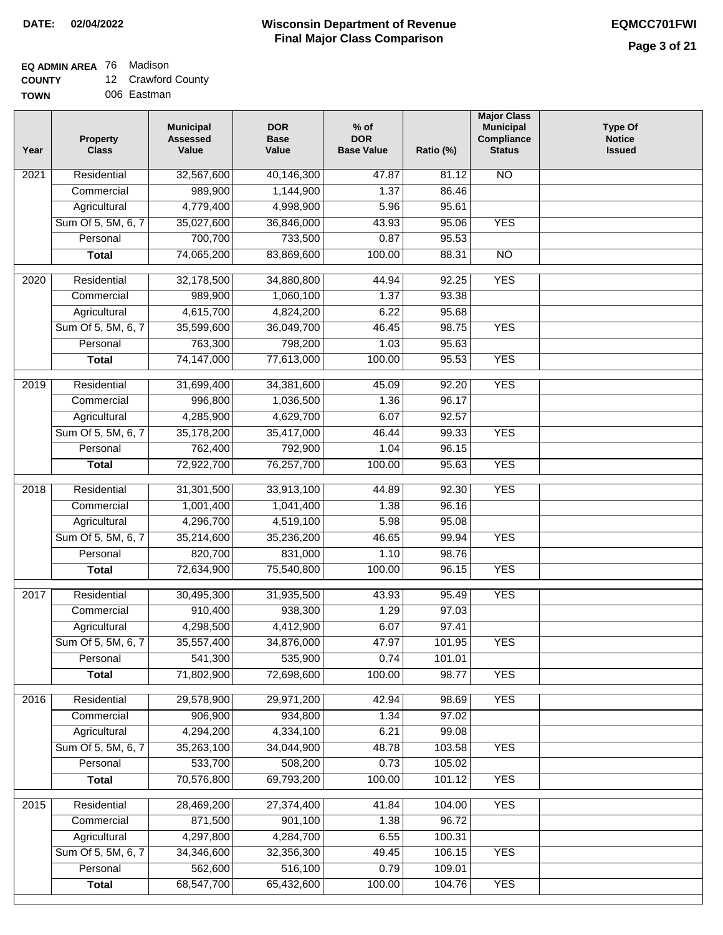## **EQ ADMIN AREA** 76 Madison

| <b>COUNTY</b> | 12 Crawford County |
|---------------|--------------------|
|---------------|--------------------|

**TOWN** 006 Eastman

| Year              | <b>Property</b><br><b>Class</b> | <b>Municipal</b><br><b>Assessed</b><br>Value | <b>DOR</b><br><b>Base</b><br>Value | % of<br><b>DOR</b><br><b>Base Value</b> | Ratio (%)        | <b>Major Class</b><br><b>Municipal</b><br>Compliance<br><b>Status</b> | <b>Type Of</b><br><b>Notice</b><br><b>Issued</b> |
|-------------------|---------------------------------|----------------------------------------------|------------------------------------|-----------------------------------------|------------------|-----------------------------------------------------------------------|--------------------------------------------------|
| 2021              | Residential                     | 32,567,600                                   | 40,146,300                         | 47.87                                   | 81.12            | N <sub>O</sub>                                                        |                                                  |
|                   | Commercial                      | 989,900                                      | 1,144,900                          | 1.37                                    | 86.46            |                                                                       |                                                  |
|                   | Agricultural                    | 4,779,400                                    | 4,998,900                          | 5.96                                    | 95.61            |                                                                       |                                                  |
|                   | Sum Of 5, 5M, 6, 7              | 35,027,600                                   | 36,846,000                         | 43.93                                   | 95.06            | <b>YES</b>                                                            |                                                  |
|                   | Personal                        | 700,700                                      | 733,500                            | 0.87                                    | 95.53            |                                                                       |                                                  |
|                   | <b>Total</b>                    | 74,065,200                                   | 83,869,600                         | 100.00                                  | 88.31            | $\overline{NO}$                                                       |                                                  |
| 2020              | Residential                     | 32,178,500                                   | 34,880,800                         | 44.94                                   | 92.25            | <b>YES</b>                                                            |                                                  |
|                   | Commercial                      | 989,900                                      | 1,060,100                          | 1.37                                    | 93.38            |                                                                       |                                                  |
|                   | Agricultural                    | 4,615,700                                    | 4,824,200                          | 6.22                                    | 95.68            |                                                                       |                                                  |
|                   | Sum Of 5, 5M, 6, 7              | 35,599,600                                   | 36,049,700                         | 46.45                                   | 98.75            | <b>YES</b>                                                            |                                                  |
|                   | Personal                        | 763,300                                      | 798,200                            | 1.03                                    | 95.63            |                                                                       |                                                  |
|                   | <b>Total</b>                    | 74,147,000                                   | 77,613,000                         | 100.00                                  | 95.53            | <b>YES</b>                                                            |                                                  |
| 2019              | Residential                     | 31,699,400                                   | 34,381,600                         | 45.09                                   | 92.20            | <b>YES</b>                                                            |                                                  |
|                   | Commercial                      | 996,800                                      | 1,036,500                          | 1.36                                    | 96.17            |                                                                       |                                                  |
|                   | Agricultural                    | 4,285,900                                    | 4,629,700                          | 6.07                                    | 92.57            |                                                                       |                                                  |
|                   | Sum Of 5, 5M, 6, 7              | 35,178,200                                   | 35,417,000                         | 46.44                                   | 99.33            | <b>YES</b>                                                            |                                                  |
|                   | Personal                        | 762,400                                      | 792,900                            | 1.04                                    | 96.15            |                                                                       |                                                  |
|                   | <b>Total</b>                    | 72,922,700                                   | 76,257,700                         | 100.00                                  | 95.63            | <b>YES</b>                                                            |                                                  |
|                   |                                 |                                              |                                    |                                         |                  |                                                                       |                                                  |
| $\overline{2018}$ | Residential                     | 31,301,500                                   | 33,913,100                         | 44.89                                   | 92.30            | <b>YES</b>                                                            |                                                  |
|                   | Commercial                      | 1,001,400                                    | 1,041,400                          | 1.38                                    | 96.16            |                                                                       |                                                  |
|                   | Agricultural                    | 4,296,700                                    | 4,519,100                          | 5.98                                    | 95.08            |                                                                       |                                                  |
|                   | Sum Of 5, 5M, 6, 7              | 35,214,600                                   | 35,236,200                         | 46.65                                   | 99.94            | <b>YES</b>                                                            |                                                  |
|                   | Personal                        | 820,700                                      | 831,000                            | 1.10                                    | 98.76            |                                                                       |                                                  |
|                   | <b>Total</b>                    | 72,634,900                                   | 75,540,800                         | 100.00                                  | 96.15            | <b>YES</b>                                                            |                                                  |
| 2017              | Residential                     | 30,495,300                                   | 31,935,500                         | 43.93                                   | 95.49            | <b>YES</b>                                                            |                                                  |
|                   | Commercial                      | 910,400                                      | 938,300                            | 1.29                                    | 97.03            |                                                                       |                                                  |
|                   | Agricultural                    | 4,298,500                                    | 4,412,900                          | 6.07                                    | 97.41            |                                                                       |                                                  |
|                   | Sum Of 5, 5M, 6, 7              | 35,557,400                                   | 34,876,000                         | 47.97                                   | 101.95           | YES                                                                   |                                                  |
|                   | Personal                        | 541,300                                      | 535,900                            | 0.74                                    | 101.01           |                                                                       |                                                  |
|                   | <b>Total</b>                    | 71,802,900                                   | 72,698,600                         | 100.00                                  | 98.77            | <b>YES</b>                                                            |                                                  |
| 2016              | Residential                     | 29,578,900                                   | 29,971,200                         | 42.94                                   | 98.69            | <b>YES</b>                                                            |                                                  |
|                   | Commercial                      | 906,900                                      | 934,800                            | 1.34                                    | 97.02            |                                                                       |                                                  |
|                   | Agricultural                    | 4,294,200                                    | 4,334,100                          | 6.21                                    | 99.08            |                                                                       |                                                  |
|                   | Sum Of 5, 5M, 6, 7              | 35,263,100                                   | 34,044,900                         | 48.78                                   | 103.58           | <b>YES</b>                                                            |                                                  |
|                   | Personal                        | 533,700                                      | 508,200                            | 0.73                                    | 105.02           |                                                                       |                                                  |
|                   | <b>Total</b>                    | 70,576,800                                   | 69,793,200                         | 100.00                                  | 101.12           | <b>YES</b>                                                            |                                                  |
|                   |                                 |                                              |                                    |                                         |                  |                                                                       |                                                  |
| $\overline{2015}$ | Residential                     | 28,469,200                                   | 27,374,400                         | 41.84                                   | 104.00           | <b>YES</b>                                                            |                                                  |
|                   | Commercial                      | 871,500                                      | 901,100                            | 1.38                                    | 96.72            |                                                                       |                                                  |
|                   | Agricultural                    | 4,297,800                                    | 4,284,700                          | 6.55                                    | 100.31           |                                                                       |                                                  |
|                   | Sum Of 5, 5M, 6, 7<br>Personal  | 34,346,600<br>562,600                        | 32,356,300<br>516,100              | 49.45<br>0.79                           | 106.15<br>109.01 | <b>YES</b>                                                            |                                                  |
|                   | <b>Total</b>                    | 68,547,700                                   | 65,432,600                         | 100.00                                  | 104.76           | <b>YES</b>                                                            |                                                  |
|                   |                                 |                                              |                                    |                                         |                  |                                                                       |                                                  |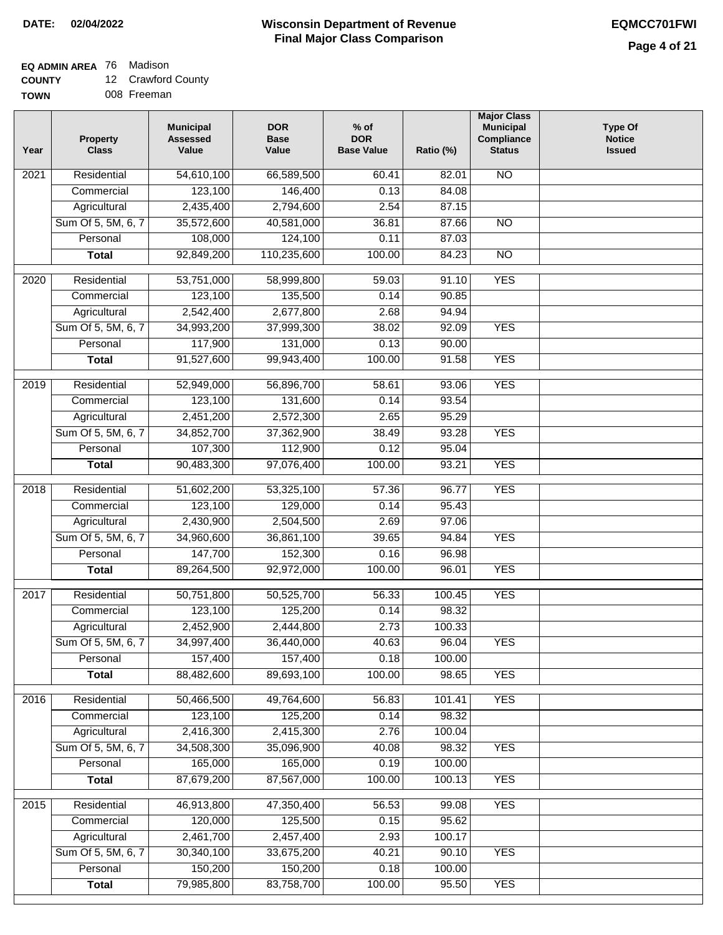### **EQ ADMIN AREA** 76 Madison

**COUNTY** 12 Crawford County

**TOWN** 008 Freeman

| Year              | <b>Property</b><br><b>Class</b> | <b>Municipal</b><br><b>Assessed</b><br>Value | <b>DOR</b><br><b>Base</b><br>Value | $%$ of<br><b>DOR</b><br><b>Base Value</b> | Ratio (%)       | <b>Major Class</b><br><b>Municipal</b><br>Compliance<br><b>Status</b> | <b>Type Of</b><br><b>Notice</b><br><b>Issued</b> |
|-------------------|---------------------------------|----------------------------------------------|------------------------------------|-------------------------------------------|-----------------|-----------------------------------------------------------------------|--------------------------------------------------|
| $\overline{202}1$ | Residential                     | 54,610,100                                   | 66,589,500                         | 60.41                                     | 82.01           | <b>NO</b>                                                             |                                                  |
|                   | Commercial                      | 123,100                                      | 146,400                            | 0.13                                      | 84.08           |                                                                       |                                                  |
|                   | Agricultural                    | 2,435,400                                    | 2,794,600                          | 2.54                                      | 87.15           |                                                                       |                                                  |
|                   | Sum Of 5, 5M, 6, 7              | 35,572,600                                   | 40,581,000                         | 36.81                                     | 87.66           | $\overline{NO}$                                                       |                                                  |
|                   | Personal                        | 108,000                                      | 124,100                            | 0.11                                      | 87.03           |                                                                       |                                                  |
|                   | <b>Total</b>                    | 92,849,200                                   | 110,235,600                        | 100.00                                    | 84.23           | $\overline{NO}$                                                       |                                                  |
| $\overline{2020}$ | Residential                     | 53,751,000                                   | 58,999,800                         | 59.03                                     | 91.10           | <b>YES</b>                                                            |                                                  |
|                   | Commercial                      | 123,100                                      | 135,500                            | 0.14                                      | 90.85           |                                                                       |                                                  |
|                   | Agricultural                    | 2,542,400                                    | 2,677,800                          | 2.68                                      | 94.94           |                                                                       |                                                  |
|                   | Sum Of 5, 5M, 6, 7              | 34,993,200                                   | 37,999,300                         | 38.02                                     | 92.09           | <b>YES</b>                                                            |                                                  |
|                   | Personal                        | 117,900                                      | 131,000                            | 0.13                                      | 90.00           |                                                                       |                                                  |
|                   | <b>Total</b>                    | 91,527,600                                   | 99,943,400                         | 100.00                                    | 91.58           | <b>YES</b>                                                            |                                                  |
|                   |                                 |                                              |                                    |                                           |                 |                                                                       |                                                  |
| 2019              | Residential                     | 52,949,000                                   | 56,896,700                         | 58.61                                     | 93.06           | <b>YES</b>                                                            |                                                  |
|                   | Commercial                      | 123,100                                      | 131,600                            | 0.14                                      | 93.54           |                                                                       |                                                  |
|                   | Agricultural                    | 2,451,200                                    | 2,572,300                          | 2.65                                      | 95.29           |                                                                       |                                                  |
|                   | Sum Of 5, 5M, 6, 7              | 34,852,700                                   | 37,362,900                         | 38.49                                     | 93.28           | <b>YES</b>                                                            |                                                  |
|                   | Personal                        | 107,300                                      | 112,900                            | 0.12                                      | 95.04           |                                                                       |                                                  |
|                   | <b>Total</b>                    | 90,483,300                                   | 97,076,400                         | 100.00                                    | 93.21           | <b>YES</b>                                                            |                                                  |
| 2018              | Residential                     | 51,602,200                                   | 53,325,100                         | 57.36                                     | 96.77           | <b>YES</b>                                                            |                                                  |
|                   | Commercial                      | 123,100                                      | 129,000                            | 0.14                                      | 95.43           |                                                                       |                                                  |
|                   | Agricultural                    | 2,430,900                                    | 2,504,500                          | 2.69                                      | 97.06           |                                                                       |                                                  |
|                   | Sum Of 5, 5M, 6, 7              | 34,960,600                                   | 36,861,100                         | 39.65                                     | 94.84           | <b>YES</b>                                                            |                                                  |
|                   | Personal                        | 147,700                                      | 152,300                            | 0.16                                      | 96.98           |                                                                       |                                                  |
|                   | <b>Total</b>                    | 89,264,500                                   | 92,972,000                         | 100.00                                    | 96.01           | <b>YES</b>                                                            |                                                  |
| 2017              | Residential                     | 50,751,800                                   | 50,525,700                         | 56.33                                     | 100.45          | <b>YES</b>                                                            |                                                  |
|                   | Commercial                      | 123,100                                      | 125,200                            | 0.14                                      | 98.32           |                                                                       |                                                  |
|                   | Agricultural                    | 2,452,900                                    | 2,444,800                          | 2.73                                      | 100.33          |                                                                       |                                                  |
|                   | Sum Of 5, 5M, 6, 7              | 34,997,400                                   | 36,440,000                         | 40.63                                     | 96.04           | <b>YES</b>                                                            |                                                  |
|                   | Personal                        | 157,400                                      | 157,400                            | 0.18                                      | 100.00          |                                                                       |                                                  |
|                   | <b>Total</b>                    | 88,482,600                                   | 89,693,100                         | 100.00                                    | 98.65           | <b>YES</b>                                                            |                                                  |
| 2016              | Residential                     | 50,466,500                                   | 49,764,600                         |                                           |                 | <b>YES</b>                                                            |                                                  |
|                   | Commercial                      | 123,100                                      | 125,200                            | 56.83<br>0.14                             | 101.41<br>98.32 |                                                                       |                                                  |
|                   | Agricultural                    | 2,416,300                                    | 2,415,300                          | 2.76                                      | 100.04          |                                                                       |                                                  |
|                   | Sum Of 5, 5M, 6, 7              | 34,508,300                                   | 35,096,900                         | 40.08                                     | 98.32           | <b>YES</b>                                                            |                                                  |
|                   | Personal                        | 165,000                                      | 165,000                            | 0.19                                      | 100.00          |                                                                       |                                                  |
|                   | <b>Total</b>                    | 87,679,200                                   | 87,567,000                         | 100.00                                    | 100.13          | <b>YES</b>                                                            |                                                  |
|                   |                                 |                                              |                                    |                                           |                 |                                                                       |                                                  |
| 2015              | Residential                     | 46,913,800                                   | 47,350,400                         | 56.53                                     | 99.08           | <b>YES</b>                                                            |                                                  |
|                   | Commercial                      | 120,000                                      | 125,500                            | 0.15                                      | 95.62           |                                                                       |                                                  |
|                   | Agricultural                    | 2,461,700                                    | 2,457,400                          | 2.93                                      | 100.17          |                                                                       |                                                  |
|                   | Sum Of 5, 5M, 6, 7              | 30,340,100                                   | 33,675,200                         | 40.21                                     | 90.10           | <b>YES</b>                                                            |                                                  |
|                   | Personal                        | 150,200                                      | 150,200                            | 0.18                                      | 100.00          |                                                                       |                                                  |
|                   | <b>Total</b>                    | 79,985,800                                   | 83,758,700                         | 100.00                                    | 95.50           | <b>YES</b>                                                            |                                                  |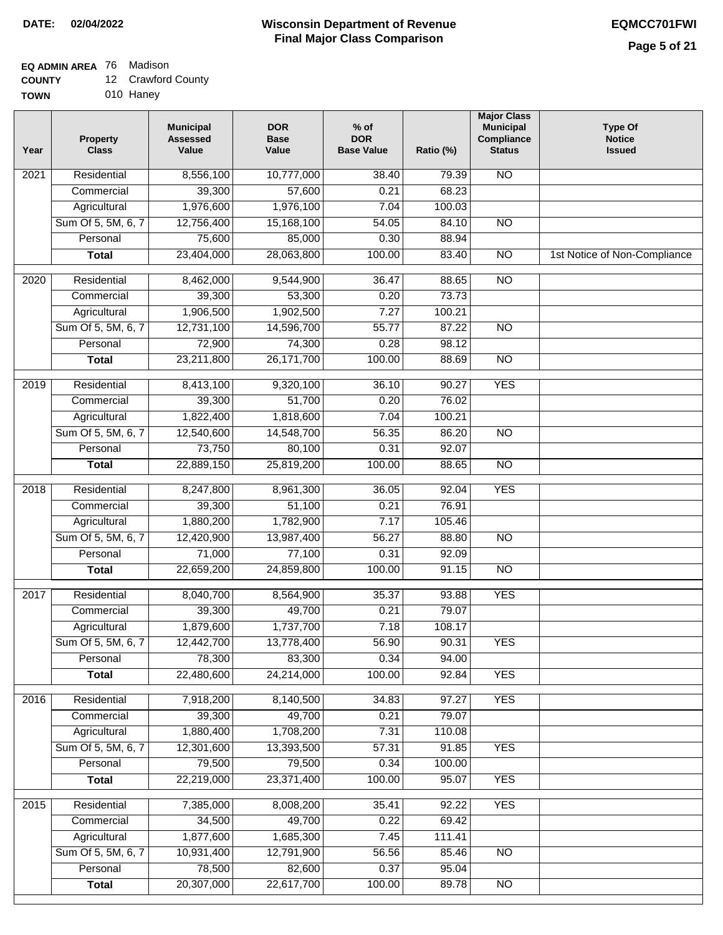### **Wisconsin Department of Revenue Final Major Class Comparison DATE: 02/04/2022 EQMCC701FWI**

## **EQ ADMIN AREA** 76 Madison

**COUNTY** 12 Crawford County

**TOWN** 010 Haney

| Year              | <b>Property</b><br><b>Class</b> | <b>Municipal</b><br><b>Assessed</b><br>Value | <b>DOR</b><br><b>Base</b><br>Value | $%$ of<br><b>DOR</b><br><b>Base Value</b> | Ratio (%) | <b>Major Class</b><br><b>Municipal</b><br>Compliance<br><b>Status</b> | <b>Type Of</b><br><b>Notice</b><br><b>Issued</b> |
|-------------------|---------------------------------|----------------------------------------------|------------------------------------|-------------------------------------------|-----------|-----------------------------------------------------------------------|--------------------------------------------------|
| 2021              | Residential                     | 8,556,100                                    | 10,777,000                         | 38.40                                     | 79.39     | <b>NO</b>                                                             |                                                  |
|                   | Commercial                      | 39,300                                       | 57,600                             | 0.21                                      | 68.23     |                                                                       |                                                  |
|                   | Agricultural                    | 1,976,600                                    | 1,976,100                          | 7.04                                      | 100.03    |                                                                       |                                                  |
|                   | Sum Of 5, 5M, 6, 7              | 12,756,400                                   | 15,168,100                         | 54.05                                     | 84.10     | $\overline{NO}$                                                       |                                                  |
|                   | Personal                        | 75,600                                       | 85,000                             | 0.30                                      | 88.94     |                                                                       |                                                  |
|                   | <b>Total</b>                    | 23,404,000                                   | 28,063,800                         | 100.00                                    | 83.40     | $\overline{NO}$                                                       | 1st Notice of Non-Compliance                     |
| 2020              | Residential                     | 8,462,000                                    | 9,544,900                          | 36.47                                     | 88.65     | $\overline{NO}$                                                       |                                                  |
|                   | Commercial                      | 39,300                                       | 53,300                             | 0.20                                      | 73.73     |                                                                       |                                                  |
|                   | Agricultural                    | 1,906,500                                    | 1,902,500                          | 7.27                                      | 100.21    |                                                                       |                                                  |
|                   | Sum Of 5, 5M, 6, 7              | 12,731,100                                   | 14,596,700                         | 55.77                                     | 87.22     | $\overline{NO}$                                                       |                                                  |
|                   | Personal                        | 72,900                                       | 74,300                             | 0.28                                      | 98.12     |                                                                       |                                                  |
|                   | <b>Total</b>                    | 23,211,800                                   | 26, 171, 700                       | 100.00                                    | 88.69     | $\overline{NO}$                                                       |                                                  |
| 2019              | Residential                     | 8,413,100                                    | 9,320,100                          | 36.10                                     | 90.27     | <b>YES</b>                                                            |                                                  |
|                   | Commercial                      | 39,300                                       | 51,700                             | 0.20                                      | 76.02     |                                                                       |                                                  |
|                   | Agricultural                    | 1,822,400                                    | 1,818,600                          | 7.04                                      | 100.21    |                                                                       |                                                  |
|                   | Sum Of 5, 5M, 6, 7              | 12,540,600                                   | 14,548,700                         | 56.35                                     | 86.20     | $\overline{NO}$                                                       |                                                  |
|                   | Personal                        | 73,750                                       | 80,100                             | 0.31                                      | 92.07     |                                                                       |                                                  |
|                   | <b>Total</b>                    | 22,889,150                                   | 25,819,200                         | 100.00                                    | 88.65     | <b>NO</b>                                                             |                                                  |
| $\overline{2018}$ | Residential                     | 8,247,800                                    | 8,961,300                          | 36.05                                     | 92.04     | <b>YES</b>                                                            |                                                  |
|                   | Commercial                      | 39,300                                       | 51,100                             | 0.21                                      | 76.91     |                                                                       |                                                  |
|                   | Agricultural                    | 1,880,200                                    | 1,782,900                          | 7.17                                      | 105.46    |                                                                       |                                                  |
|                   | Sum Of 5, 5M, 6, 7              | 12,420,900                                   | 13,987,400                         | 56.27                                     | 88.80     | <b>NO</b>                                                             |                                                  |
|                   | Personal                        | 71,000                                       | 77,100                             | 0.31                                      | 92.09     |                                                                       |                                                  |
|                   | <b>Total</b>                    | 22,659,200                                   | 24,859,800                         | 100.00                                    | 91.15     | $\overline{10}$                                                       |                                                  |
| 2017              | Residential                     | 8,040,700                                    | 8,564,900                          | 35.37                                     | 93.88     | <b>YES</b>                                                            |                                                  |
|                   | Commercial                      | 39,300                                       | 49,700                             | 0.21                                      | 79.07     |                                                                       |                                                  |
|                   | Agricultural                    | 1,879,600                                    | 1,737,700                          | 7.18                                      | 108.17    |                                                                       |                                                  |
|                   | Sum Of 5, 5M, 6, 7              | 12,442,700                                   | 13,778,400                         | 56.90                                     | 90.31     | <b>YES</b>                                                            |                                                  |
|                   | Personal                        | 78,300                                       | 83,300                             | 0.34                                      | 94.00     |                                                                       |                                                  |
|                   | <b>Total</b>                    | 22,480,600                                   | 24,214,000                         | 100.00                                    | 92.84     | <b>YES</b>                                                            |                                                  |
| 2016              | Residential                     | 7,918,200                                    | 8,140,500                          | 34.83                                     | 97.27     | <b>YES</b>                                                            |                                                  |
|                   | Commercial                      | 39,300                                       | 49,700                             | 0.21                                      | 79.07     |                                                                       |                                                  |
|                   | Agricultural                    | 1,880,400                                    | 1,708,200                          | 7.31                                      | 110.08    |                                                                       |                                                  |
|                   | Sum Of 5, 5M, 6, 7              | 12,301,600                                   | 13,393,500                         | 57.31                                     | 91.85     | <b>YES</b>                                                            |                                                  |
|                   | Personal                        | 79,500                                       | 79,500                             | 0.34                                      | 100.00    |                                                                       |                                                  |
|                   | <b>Total</b>                    | 22,219,000                                   | 23,371,400                         | 100.00                                    | 95.07     | <b>YES</b>                                                            |                                                  |
| 2015              | Residential                     | 7,385,000                                    | 8,008,200                          | 35.41                                     | 92.22     | <b>YES</b>                                                            |                                                  |
|                   | Commercial                      | 34,500                                       | 49,700                             | 0.22                                      | 69.42     |                                                                       |                                                  |
|                   | Agricultural                    | 1,877,600                                    | 1,685,300                          | 7.45                                      | 111.41    |                                                                       |                                                  |
|                   | Sum Of 5, 5M, 6, 7              | 10,931,400                                   | 12,791,900                         | 56.56                                     | 85.46     | <b>NO</b>                                                             |                                                  |
|                   | Personal                        | 78,500                                       | 82,600                             | 0.37                                      | 95.04     |                                                                       |                                                  |
|                   | <b>Total</b>                    | 20,307,000                                   | 22,617,700                         | 100.00                                    | 89.78     | $\overline{NO}$                                                       |                                                  |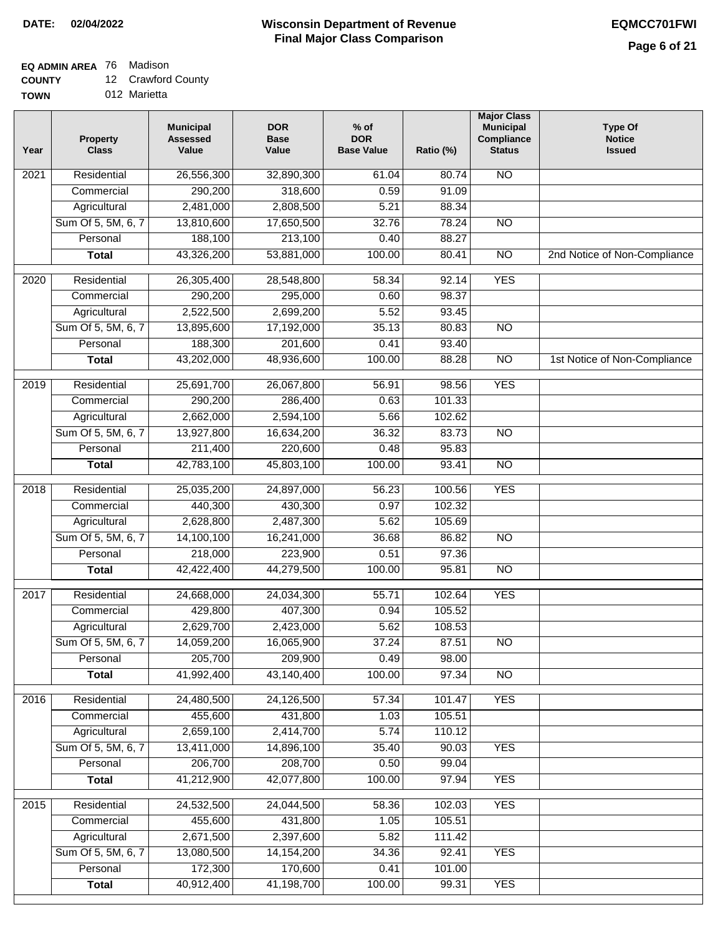## **EQ ADMIN AREA** 76 Madison

**COUNTY** 12 Crawford County

**TOWN** 012 Marietta

| Year              | <b>Property</b><br><b>Class</b> | <b>Municipal</b><br><b>Assessed</b><br>Value | <b>DOR</b><br>Base<br>Value | $%$ of<br><b>DOR</b><br><b>Base Value</b> | Ratio (%) | <b>Major Class</b><br><b>Municipal</b><br>Compliance<br><b>Status</b> | <b>Type Of</b><br><b>Notice</b><br><b>Issued</b> |
|-------------------|---------------------------------|----------------------------------------------|-----------------------------|-------------------------------------------|-----------|-----------------------------------------------------------------------|--------------------------------------------------|
| $\overline{202}1$ | Residential                     | 26,556,300                                   | 32,890,300                  | 61.04                                     | 80.74     | N <sub>O</sub>                                                        |                                                  |
|                   | Commercial                      | 290,200                                      | 318,600                     | 0.59                                      | 91.09     |                                                                       |                                                  |
|                   | Agricultural                    | 2,481,000                                    | 2,808,500                   | 5.21                                      | 88.34     |                                                                       |                                                  |
|                   | Sum Of 5, 5M, 6, 7              | 13,810,600                                   | 17,650,500                  | 32.76                                     | 78.24     | $\overline{NO}$                                                       |                                                  |
|                   | Personal                        | 188,100                                      | 213,100                     | 0.40                                      | 88.27     |                                                                       |                                                  |
|                   | <b>Total</b>                    | 43,326,200                                   | 53,881,000                  | 100.00                                    | 80.41     | $\overline{NO}$                                                       | 2nd Notice of Non-Compliance                     |
| $\overline{2020}$ | Residential                     | 26,305,400                                   | 28,548,800                  | 58.34                                     | 92.14     | <b>YES</b>                                                            |                                                  |
|                   | Commercial                      | 290,200                                      | 295,000                     | 0.60                                      | 98.37     |                                                                       |                                                  |
|                   | Agricultural                    | 2,522,500                                    | 2,699,200                   | 5.52                                      | 93.45     |                                                                       |                                                  |
|                   | Sum Of 5, 5M, 6, 7              | 13,895,600                                   | 17,192,000                  | 35.13                                     | 80.83     | $\overline{NO}$                                                       |                                                  |
|                   | Personal                        | 188,300                                      | 201,600                     | 0.41                                      | 93.40     |                                                                       |                                                  |
|                   | <b>Total</b>                    | 43,202,000                                   | 48,936,600                  | 100.00                                    | 88.28     | $\overline{NO}$                                                       | 1st Notice of Non-Compliance                     |
| 2019              | Residential                     | 25,691,700                                   | 26,067,800                  | 56.91                                     | 98.56     | <b>YES</b>                                                            |                                                  |
|                   | Commercial                      | 290,200                                      | 286,400                     | 0.63                                      | 101.33    |                                                                       |                                                  |
|                   | Agricultural                    | 2,662,000                                    | 2,594,100                   | 5.66                                      | 102.62    |                                                                       |                                                  |
|                   | Sum Of 5, 5M, 6, 7              | 13,927,800                                   | 16,634,200                  | 36.32                                     | 83.73     | $\overline{NO}$                                                       |                                                  |
|                   | Personal                        | 211,400                                      | 220,600                     | 0.48                                      | 95.83     |                                                                       |                                                  |
|                   | <b>Total</b>                    | 42,783,100                                   | 45,803,100                  | 100.00                                    | 93.41     | $\overline{NO}$                                                       |                                                  |
| 2018              | Residential                     | 25,035,200                                   | 24,897,000                  | 56.23                                     | 100.56    | <b>YES</b>                                                            |                                                  |
|                   | Commercial                      | 440,300                                      | 430,300                     | 0.97                                      | 102.32    |                                                                       |                                                  |
|                   | Agricultural                    | 2,628,800                                    | 2,487,300                   | 5.62                                      | 105.69    |                                                                       |                                                  |
|                   | Sum Of 5, 5M, 6, 7              | 14,100,100                                   | 16,241,000                  | 36.68                                     | 86.82     | $\overline{10}$                                                       |                                                  |
|                   | Personal                        | 218,000                                      | 223,900                     | 0.51                                      | 97.36     |                                                                       |                                                  |
|                   | <b>Total</b>                    | 42,422,400                                   | 44,279,500                  | 100.00                                    | 95.81     | <b>NO</b>                                                             |                                                  |
| 2017              | Residential                     | 24,668,000                                   | 24,034,300                  | 55.71                                     | 102.64    | <b>YES</b>                                                            |                                                  |
|                   | Commercial                      | 429,800                                      | 407,300                     | 0.94                                      | 105.52    |                                                                       |                                                  |
|                   | Agricultural                    | 2,629,700                                    | 2,423,000                   | 5.62                                      | 108.53    |                                                                       |                                                  |
|                   | Sum Of 5, 5M, 6, 7              | 14,059,200                                   | 16,065,900                  | 37.24                                     | 87.51     | <b>NO</b>                                                             |                                                  |
|                   | Personal                        | 205,700                                      | 209,900                     | 0.49                                      | 98.00     |                                                                       |                                                  |
|                   | <b>Total</b>                    | 41,992,400                                   | 43,140,400                  | 100.00                                    | 97.34     | <b>NO</b>                                                             |                                                  |
| 2016              | Residential                     | 24,480,500                                   | 24,126,500                  | 57.34                                     | 101.47    | <b>YES</b>                                                            |                                                  |
|                   | Commercial                      | 455,600                                      | 431,800                     | 1.03                                      | 105.51    |                                                                       |                                                  |
|                   | Agricultural                    | 2,659,100                                    | 2,414,700                   | 5.74                                      | 110.12    |                                                                       |                                                  |
|                   | Sum Of 5, 5M, 6, 7              | 13,411,000                                   | 14,896,100                  | 35.40                                     | 90.03     | <b>YES</b>                                                            |                                                  |
|                   | Personal                        | 206,700                                      | 208,700                     | 0.50                                      | 99.04     |                                                                       |                                                  |
|                   | <b>Total</b>                    | 41,212,900                                   | 42,077,800                  | 100.00                                    | 97.94     | <b>YES</b>                                                            |                                                  |
| 2015              | Residential                     | 24,532,500                                   | 24,044,500                  | 58.36                                     | 102.03    | <b>YES</b>                                                            |                                                  |
|                   | Commercial                      | 455,600                                      | 431,800                     | 1.05                                      | 105.51    |                                                                       |                                                  |
|                   | Agricultural                    | 2,671,500                                    | 2,397,600                   | 5.82                                      | 111.42    |                                                                       |                                                  |
|                   | Sum Of 5, 5M, 6, 7              | 13,080,500                                   | 14, 154, 200                | 34.36                                     | 92.41     | <b>YES</b>                                                            |                                                  |
|                   | Personal                        | 172,300                                      | 170,600                     | 0.41                                      | 101.00    |                                                                       |                                                  |
|                   | <b>Total</b>                    | 40,912,400                                   | 41,198,700                  | 100.00                                    | 99.31     | <b>YES</b>                                                            |                                                  |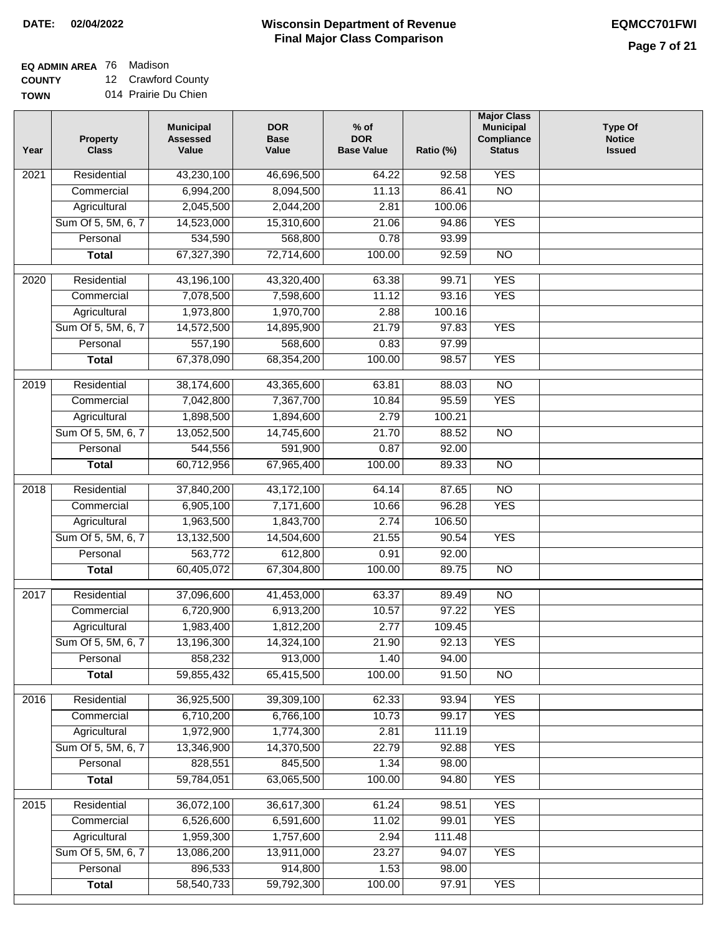### **Wisconsin Department of Revenue Final Major Class Comparison DATE: 02/04/2022 EQMCC701FWI**

**EQ ADMIN AREA** 76 Madison

**COUNTY TOWN** 12 Crawford County 014 Prairie Du Chien

| Year | <b>Property</b><br><b>Class</b> | <b>Municipal</b><br><b>Assessed</b><br>Value | <b>DOR</b><br><b>Base</b><br>Value | $%$ of<br><b>DOR</b><br><b>Base Value</b> | Ratio (%) | <b>Major Class</b><br><b>Municipal</b><br>Compliance<br><b>Status</b> | <b>Type Of</b><br><b>Notice</b><br><b>Issued</b> |
|------|---------------------------------|----------------------------------------------|------------------------------------|-------------------------------------------|-----------|-----------------------------------------------------------------------|--------------------------------------------------|
| 2021 | Residential                     | 43,230,100                                   | 46,696,500                         | 64.22                                     | 92.58     | <b>YES</b>                                                            |                                                  |
|      | Commercial                      | 6,994,200                                    | 8,094,500                          | 11.13                                     | 86.41     | $\overline{NO}$                                                       |                                                  |
|      | Agricultural                    | 2,045,500                                    | 2,044,200                          | 2.81                                      | 100.06    |                                                                       |                                                  |
|      | Sum Of 5, 5M, 6, 7              | 14,523,000                                   | 15,310,600                         | 21.06                                     | 94.86     | <b>YES</b>                                                            |                                                  |
|      | Personal                        | 534,590                                      | 568,800                            | 0.78                                      | 93.99     |                                                                       |                                                  |
|      | <b>Total</b>                    | 67,327,390                                   | 72,714,600                         | 100.00                                    | 92.59     | $\overline{NO}$                                                       |                                                  |
| 2020 | Residential                     | 43,196,100                                   | 43,320,400                         | 63.38                                     | 99.71     | <b>YES</b>                                                            |                                                  |
|      | Commercial                      | 7,078,500                                    | 7,598,600                          | 11.12                                     | 93.16     | <b>YES</b>                                                            |                                                  |
|      | Agricultural                    | 1,973,800                                    | 1,970,700                          | 2.88                                      | 100.16    |                                                                       |                                                  |
|      | Sum Of 5, 5M, 6, 7              | 14,572,500                                   | 14,895,900                         | 21.79                                     | 97.83     | <b>YES</b>                                                            |                                                  |
|      | Personal                        | 557,190                                      | 568,600                            | 0.83                                      | 97.99     |                                                                       |                                                  |
|      | <b>Total</b>                    | 67,378,090                                   | 68,354,200                         | 100.00                                    | 98.57     | <b>YES</b>                                                            |                                                  |
|      |                                 |                                              |                                    |                                           |           |                                                                       |                                                  |
| 2019 | Residential                     | 38,174,600                                   | 43,365,600                         | 63.81                                     | 88.03     | $\overline{NO}$                                                       |                                                  |
|      | Commercial                      | 7,042,800                                    | 7,367,700                          | 10.84                                     | 95.59     | <b>YES</b>                                                            |                                                  |
|      | Agricultural                    | 1,898,500                                    | 1,894,600                          | 2.79                                      | 100.21    |                                                                       |                                                  |
|      | Sum Of 5, 5M, 6, 7              | 13,052,500                                   | 14,745,600                         | 21.70                                     | 88.52     | $\overline{NO}$                                                       |                                                  |
|      | Personal                        | 544,556                                      | 591,900                            | 0.87                                      | 92.00     |                                                                       |                                                  |
|      | <b>Total</b>                    | 60,712,956                                   | 67,965,400                         | 100.00                                    | 89.33     | <b>NO</b>                                                             |                                                  |
| 2018 | Residential                     | 37,840,200                                   | 43,172,100                         | 64.14                                     | 87.65     | $\overline{NO}$                                                       |                                                  |
|      | Commercial                      | 6,905,100                                    | 7,171,600                          | 10.66                                     | 96.28     | <b>YES</b>                                                            |                                                  |
|      | Agricultural                    | 1,963,500                                    | 1,843,700                          | 2.74                                      | 106.50    |                                                                       |                                                  |
|      | Sum Of 5, 5M, 6, 7              | 13,132,500                                   | 14,504,600                         | 21.55                                     | 90.54     | <b>YES</b>                                                            |                                                  |
|      | Personal                        | 563,772                                      | 612,800                            | 0.91                                      | 92.00     |                                                                       |                                                  |
|      | <b>Total</b>                    | 60,405,072                                   | 67,304,800                         | 100.00                                    | 89.75     | $\overline{NO}$                                                       |                                                  |
| 2017 | Residential                     | 37,096,600                                   | 41,453,000                         | 63.37                                     | 89.49     | $\overline{NO}$                                                       |                                                  |
|      | Commercial                      | 6,720,900                                    | 6,913,200                          | 10.57                                     | 97.22     | <b>YES</b>                                                            |                                                  |
|      | Agricultural                    | 1,983,400                                    | 1,812,200                          | 2.77                                      | 109.45    |                                                                       |                                                  |
|      | Sum Of 5, 5M, 6, 7              | 13,196,300                                   | 14,324,100                         | 21.90                                     | 92.13     | <b>YES</b>                                                            |                                                  |
|      | Personal                        | 858,232                                      | 913,000                            | 1.40                                      | 94.00     |                                                                       |                                                  |
|      | <b>Total</b>                    | 59,855,432                                   | 65,415,500                         | 100.00                                    | 91.50     | $\overline{NO}$                                                       |                                                  |
| 2016 | Residential                     | 36,925,500                                   | 39,309,100                         | 62.33                                     | 93.94     | <b>YES</b>                                                            |                                                  |
|      | Commercial                      | 6,710,200                                    | 6,766,100                          | 10.73                                     | 99.17     | <b>YES</b>                                                            |                                                  |
|      | Agricultural                    | 1,972,900                                    | 1,774,300                          | 2.81                                      | 111.19    |                                                                       |                                                  |
|      | Sum Of 5, 5M, 6, 7              | 13,346,900                                   | 14,370,500                         | 22.79                                     | 92.88     | <b>YES</b>                                                            |                                                  |
|      | Personal                        | 828,551                                      | 845,500                            | 1.34                                      | 98.00     |                                                                       |                                                  |
|      | <b>Total</b>                    | 59,784,051                                   | 63,065,500                         | 100.00                                    | 94.80     | <b>YES</b>                                                            |                                                  |
|      |                                 |                                              |                                    |                                           |           |                                                                       |                                                  |
| 2015 | Residential                     | 36,072,100                                   | 36,617,300                         | 61.24                                     | 98.51     | <b>YES</b>                                                            |                                                  |
|      | Commercial                      | 6,526,600                                    | 6,591,600                          | 11.02                                     | 99.01     | <b>YES</b>                                                            |                                                  |
|      | Agricultural                    | 1,959,300                                    | 1,757,600                          | 2.94                                      | 111.48    |                                                                       |                                                  |
|      | Sum Of 5, 5M, 6, 7              | 13,086,200                                   | 13,911,000                         | 23.27                                     | 94.07     | <b>YES</b>                                                            |                                                  |
|      | Personal                        | 896,533                                      | 914,800                            | 1.53                                      | 98.00     |                                                                       |                                                  |
|      | <b>Total</b>                    | 58,540,733                                   | 59,792,300                         | 100.00                                    | 97.91     | <b>YES</b>                                                            |                                                  |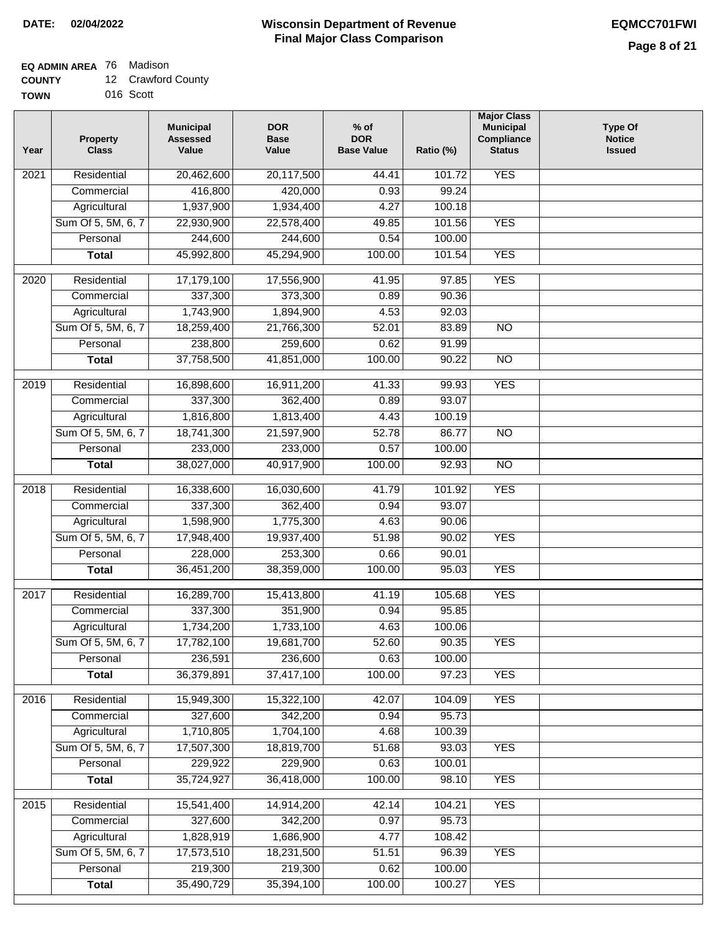# **EQ ADMIN AREA** 76 Madison

| <b>COUNTY</b> |  | 12 Crawford County |
|---------------|--|--------------------|
|---------------|--|--------------------|

**TOWN** 016 Scott

| Year              | <b>Property</b><br><b>Class</b> | <b>Municipal</b><br><b>Assessed</b><br>Value | <b>DOR</b><br><b>Base</b><br>Value | $%$ of<br><b>DOR</b><br><b>Base Value</b> | Ratio (%) | <b>Major Class</b><br><b>Municipal</b><br>Compliance<br><b>Status</b> | <b>Type Of</b><br><b>Notice</b><br><b>Issued</b> |
|-------------------|---------------------------------|----------------------------------------------|------------------------------------|-------------------------------------------|-----------|-----------------------------------------------------------------------|--------------------------------------------------|
| $\overline{202}1$ | Residential                     | 20,462,600                                   | 20,117,500                         | 44.41                                     | 101.72    | <b>YES</b>                                                            |                                                  |
|                   | Commercial                      | 416,800                                      | 420,000                            | 0.93                                      | 99.24     |                                                                       |                                                  |
|                   | Agricultural                    | 1,937,900                                    | 1,934,400                          | 4.27                                      | 100.18    |                                                                       |                                                  |
|                   | Sum Of 5, 5M, 6, 7              | 22,930,900                                   | 22,578,400                         | 49.85                                     | 101.56    | <b>YES</b>                                                            |                                                  |
|                   | Personal                        | 244,600                                      | 244,600                            | 0.54                                      | 100.00    |                                                                       |                                                  |
|                   | <b>Total</b>                    | 45,992,800                                   | 45,294,900                         | 100.00                                    | 101.54    | <b>YES</b>                                                            |                                                  |
| $\overline{2020}$ | Residential                     | 17,179,100                                   | 17,556,900                         | 41.95                                     | 97.85     | <b>YES</b>                                                            |                                                  |
|                   | Commercial                      | 337,300                                      | 373,300                            | 0.89                                      | 90.36     |                                                                       |                                                  |
|                   | Agricultural                    | 1,743,900                                    | 1,894,900                          | 4.53                                      | 92.03     |                                                                       |                                                  |
|                   | Sum Of 5, 5M, 6, 7              | 18,259,400                                   | 21,766,300                         | 52.01                                     | 83.89     | $\overline{NO}$                                                       |                                                  |
|                   | Personal                        | 238,800                                      | 259,600                            | 0.62                                      | 91.99     |                                                                       |                                                  |
|                   | <b>Total</b>                    | 37,758,500                                   | 41,851,000                         | 100.00                                    | 90.22     | $\overline{NO}$                                                       |                                                  |
| 2019              | Residential                     | 16,898,600                                   | 16,911,200                         | 41.33                                     | 99.93     | <b>YES</b>                                                            |                                                  |
|                   | Commercial                      | 337,300                                      | 362,400                            | 0.89                                      | 93.07     |                                                                       |                                                  |
|                   | Agricultural                    | 1,816,800                                    | 1,813,400                          | 4.43                                      | 100.19    |                                                                       |                                                  |
|                   | Sum Of 5, 5M, 6, 7              | 18,741,300                                   | 21,597,900                         | 52.78                                     | 86.77     | $\overline{NO}$                                                       |                                                  |
|                   | Personal                        | 233,000                                      | 233,000                            | 0.57                                      | 100.00    |                                                                       |                                                  |
|                   | <b>Total</b>                    | 38,027,000                                   | 40,917,900                         | 100.00                                    | 92.93     | $\overline{NO}$                                                       |                                                  |
| 2018              | Residential                     | 16,338,600                                   | 16,030,600                         | 41.79                                     | 101.92    | <b>YES</b>                                                            |                                                  |
|                   | Commercial                      | 337,300                                      | 362,400                            | 0.94                                      | 93.07     |                                                                       |                                                  |
|                   | Agricultural                    | 1,598,900                                    | 1,775,300                          | 4.63                                      | 90.06     |                                                                       |                                                  |
|                   | Sum Of 5, 5M, 6, 7              | 17,948,400                                   | 19,937,400                         | 51.98                                     | 90.02     | <b>YES</b>                                                            |                                                  |
|                   | Personal                        | 228,000                                      | 253,300                            | 0.66                                      | 90.01     |                                                                       |                                                  |
|                   | <b>Total</b>                    | 36,451,200                                   | 38,359,000                         | 100.00                                    | 95.03     | <b>YES</b>                                                            |                                                  |
| $\overline{2017}$ | Residential                     | 16,289,700                                   | 15,413,800                         | 41.19                                     | 105.68    | <b>YES</b>                                                            |                                                  |
|                   | Commercial                      | 337,300                                      | 351,900                            | 0.94                                      | 95.85     |                                                                       |                                                  |
|                   | Agricultural                    | 1,734,200                                    | 1,733,100                          | 4.63                                      | 100.06    |                                                                       |                                                  |
|                   | Sum Of 5, 5M, 6, 7              | 17,782,100                                   | 19,681,700                         | 52.60                                     | 90.35     | <b>YES</b>                                                            |                                                  |
|                   | Personal                        | 236,591                                      | 236,600                            | 0.63                                      | 100.00    |                                                                       |                                                  |
|                   | <b>Total</b>                    | 36,379,891                                   | 37,417,100                         | 100.00                                    | 97.23     | <b>YES</b>                                                            |                                                  |
| 2016              | Residential                     | 15,949,300                                   | 15,322,100                         | 42.07                                     | 104.09    | <b>YES</b>                                                            |                                                  |
|                   | Commercial                      | 327,600                                      | 342,200                            | 0.94                                      | 95.73     |                                                                       |                                                  |
|                   | Agricultural                    | 1,710,805                                    | 1,704,100                          | 4.68                                      | 100.39    |                                                                       |                                                  |
|                   | Sum Of 5, 5M, 6, 7              | 17,507,300                                   | 18,819,700                         | 51.68                                     | 93.03     | <b>YES</b>                                                            |                                                  |
|                   | Personal                        | 229,922                                      | 229,900                            | 0.63                                      | 100.01    |                                                                       |                                                  |
|                   | <b>Total</b>                    | 35,724,927                                   | 36,418,000                         | 100.00                                    | 98.10     | <b>YES</b>                                                            |                                                  |
| 2015              | Residential                     | 15,541,400                                   | 14,914,200                         | 42.14                                     | 104.21    | <b>YES</b>                                                            |                                                  |
|                   | Commercial                      | 327,600                                      | 342,200                            | 0.97                                      | 95.73     |                                                                       |                                                  |
|                   | Agricultural                    | 1,828,919                                    | 1,686,900                          | 4.77                                      | 108.42    |                                                                       |                                                  |
|                   | Sum Of 5, 5M, 6, 7              | 17,573,510                                   | 18,231,500                         | 51.51                                     | 96.39     | <b>YES</b>                                                            |                                                  |
|                   | Personal                        | 219,300                                      | 219,300                            | 0.62                                      | 100.00    |                                                                       |                                                  |
|                   | <b>Total</b>                    | 35,490,729                                   | 35,394,100                         | 100.00                                    | 100.27    | <b>YES</b>                                                            |                                                  |
|                   |                                 |                                              |                                    |                                           |           |                                                                       |                                                  |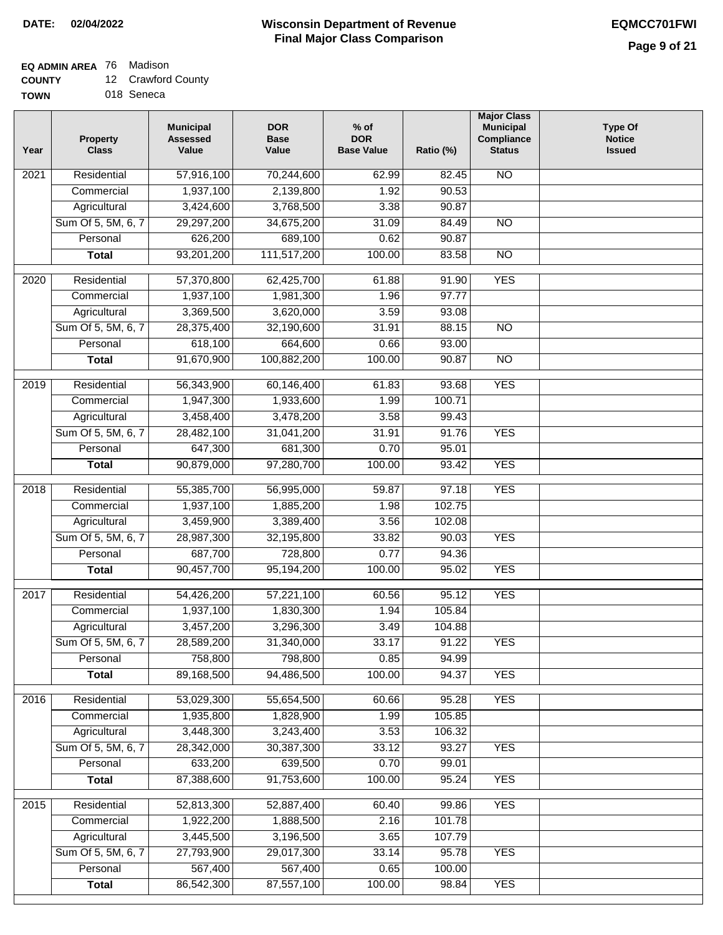## **EQ ADMIN AREA** 76 Madison

**COUNTY** 12 Crawford County

**TOWN** 018 Seneca

| Year              | <b>Property</b><br><b>Class</b> | <b>Municipal</b><br><b>Assessed</b><br>Value | <b>DOR</b><br><b>Base</b><br>Value | % of<br><b>DOR</b><br><b>Base Value</b> | Ratio (%) | <b>Major Class</b><br><b>Municipal</b><br>Compliance<br><b>Status</b> | <b>Type Of</b><br><b>Notice</b><br><b>Issued</b> |
|-------------------|---------------------------------|----------------------------------------------|------------------------------------|-----------------------------------------|-----------|-----------------------------------------------------------------------|--------------------------------------------------|
| $\overline{202}1$ | Residential                     | 57,916,100                                   | 70,244,600                         | 62.99                                   | 82.45     | <b>NO</b>                                                             |                                                  |
|                   | Commercial                      | 1,937,100                                    | 2,139,800                          | 1.92                                    | 90.53     |                                                                       |                                                  |
|                   | Agricultural                    | 3,424,600                                    | 3,768,500                          | 3.38                                    | 90.87     |                                                                       |                                                  |
|                   | Sum Of 5, 5M, 6, 7              | 29,297,200                                   | 34,675,200                         | 31.09                                   | 84.49     | $\overline{NO}$                                                       |                                                  |
|                   | Personal                        | 626,200                                      | 689,100                            | 0.62                                    | 90.87     |                                                                       |                                                  |
|                   | <b>Total</b>                    | 93,201,200                                   | 111,517,200                        | 100.00                                  | 83.58     | $\overline{NO}$                                                       |                                                  |
| $\overline{2020}$ | Residential                     | 57,370,800                                   | 62,425,700                         | 61.88                                   | 91.90     | <b>YES</b>                                                            |                                                  |
|                   | Commercial                      | 1,937,100                                    | 1,981,300                          | 1.96                                    | 97.77     |                                                                       |                                                  |
|                   | Agricultural                    | 3,369,500                                    | 3,620,000                          | 3.59                                    | 93.08     |                                                                       |                                                  |
|                   | Sum Of 5, 5M, 6, 7              | 28,375,400                                   | 32,190,600                         | 31.91                                   | 88.15     | $\overline{NO}$                                                       |                                                  |
|                   | Personal                        | 618,100                                      | 664,600                            | 0.66                                    | 93.00     |                                                                       |                                                  |
|                   | <b>Total</b>                    | 91,670,900                                   | 100,882,200                        | 100.00                                  | 90.87     | $\overline{NO}$                                                       |                                                  |
| 2019              | Residential                     | 56,343,900                                   | 60,146,400                         | 61.83                                   | 93.68     | <b>YES</b>                                                            |                                                  |
|                   | Commercial                      | 1,947,300                                    | 1,933,600                          | 1.99                                    | 100.71    |                                                                       |                                                  |
|                   | Agricultural                    | 3,458,400                                    | 3,478,200                          | 3.58                                    | 99.43     |                                                                       |                                                  |
|                   | Sum Of 5, 5M, 6, 7              | 28,482,100                                   | 31,041,200                         | 31.91                                   | 91.76     | <b>YES</b>                                                            |                                                  |
|                   | Personal                        | 647,300                                      | 681,300                            | 0.70                                    | 95.01     |                                                                       |                                                  |
|                   | <b>Total</b>                    | 90,879,000                                   | 97,280,700                         | 100.00                                  | 93.42     | <b>YES</b>                                                            |                                                  |
|                   |                                 |                                              |                                    |                                         |           |                                                                       |                                                  |
| 2018              | Residential                     | 55,385,700                                   | 56,995,000                         | 59.87                                   | 97.18     | <b>YES</b>                                                            |                                                  |
|                   | Commercial                      | 1,937,100                                    | 1,885,200                          | 1.98                                    | 102.75    |                                                                       |                                                  |
|                   | Agricultural                    | 3,459,900                                    | 3,389,400                          | 3.56                                    | 102.08    |                                                                       |                                                  |
|                   | Sum Of 5, 5M, 6, 7              | 28,987,300                                   | 32,195,800                         | 33.82                                   | 90.03     | <b>YES</b>                                                            |                                                  |
|                   | Personal                        | 687,700                                      | 728,800                            | 0.77                                    | 94.36     |                                                                       |                                                  |
|                   | <b>Total</b>                    | 90,457,700                                   | 95,194,200                         | 100.00                                  | 95.02     | <b>YES</b>                                                            |                                                  |
| 2017              | Residential                     | 54,426,200                                   | 57,221,100                         | 60.56                                   | 95.12     | <b>YES</b>                                                            |                                                  |
|                   | Commercial                      | 1,937,100                                    | 1,830,300                          | 1.94                                    | 105.84    |                                                                       |                                                  |
|                   | Agricultural                    | 3,457,200                                    | 3,296,300                          | 3.49                                    | 104.88    |                                                                       |                                                  |
|                   | Sum Of 5, 5M, 6, 7              | 28,589,200                                   | 31,340,000                         | 33.17                                   | 91.22     | <b>YES</b>                                                            |                                                  |
|                   | Personal                        | 758,800                                      | 798,800                            | 0.85                                    | 94.99     |                                                                       |                                                  |
|                   | <b>Total</b>                    | 89,168,500                                   | 94,486,500                         | 100.00                                  | 94.37     | <b>YES</b>                                                            |                                                  |
| 2016              | Residential                     | 53,029,300                                   | 55,654,500                         | 60.66                                   | 95.28     | <b>YES</b>                                                            |                                                  |
|                   | Commercial                      | 1,935,800                                    | 1,828,900                          | 1.99                                    | 105.85    |                                                                       |                                                  |
|                   | Agricultural                    | 3,448,300                                    | 3,243,400                          | 3.53                                    | 106.32    |                                                                       |                                                  |
|                   | Sum Of 5, 5M, 6, 7              | 28,342,000                                   | 30,387,300                         | 33.12                                   | 93.27     | <b>YES</b>                                                            |                                                  |
|                   | Personal                        | 633,200                                      | 639,500                            | 0.70                                    | 99.01     |                                                                       |                                                  |
|                   | <b>Total</b>                    | 87,388,600                                   | 91,753,600                         | 100.00                                  | 95.24     | <b>YES</b>                                                            |                                                  |
| 2015              | Residential                     | 52,813,300                                   | 52,887,400                         | 60.40                                   | 99.86     | <b>YES</b>                                                            |                                                  |
|                   | Commercial                      | 1,922,200                                    | 1,888,500                          | 2.16                                    | 101.78    |                                                                       |                                                  |
|                   | Agricultural                    | 3,445,500                                    | 3,196,500                          | 3.65                                    | 107.79    |                                                                       |                                                  |
|                   | Sum Of 5, 5M, 6, 7              | 27,793,900                                   | 29,017,300                         | 33.14                                   | 95.78     | <b>YES</b>                                                            |                                                  |
|                   | Personal                        | 567,400                                      | 567,400                            | 0.65                                    | 100.00    |                                                                       |                                                  |
|                   | <b>Total</b>                    | 86,542,300                                   | 87,557,100                         | 100.00                                  | 98.84     | <b>YES</b>                                                            |                                                  |
|                   |                                 |                                              |                                    |                                         |           |                                                                       |                                                  |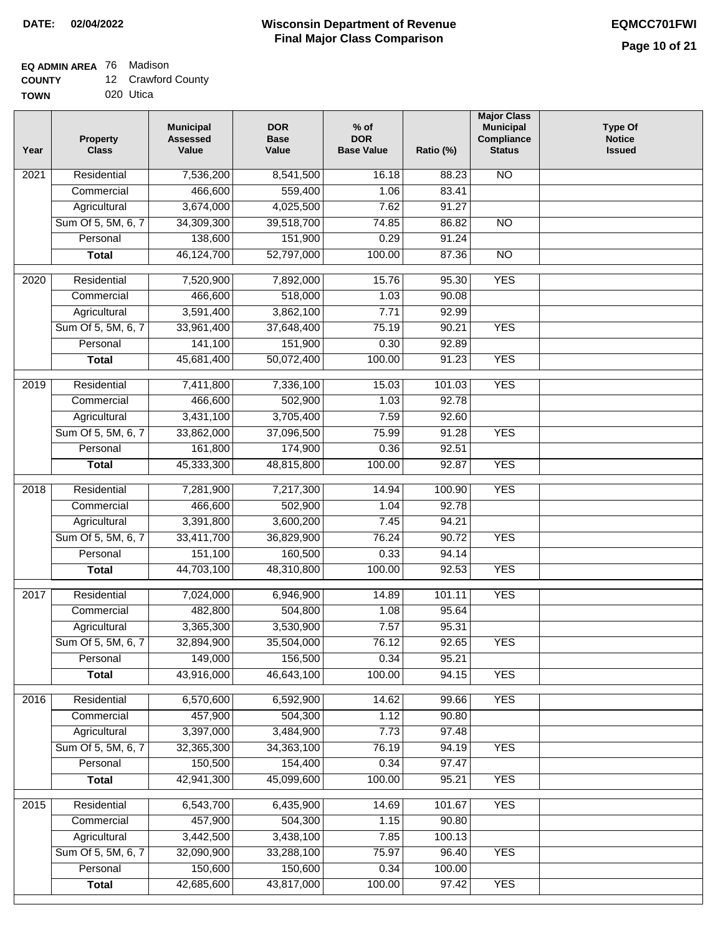## **EQ ADMIN AREA** 76 Madison

| 12 Crawford County<br><b>COUNTY</b> |  |
|-------------------------------------|--|
|-------------------------------------|--|

**TOWN** 020 Utica

| Year              | <b>Property</b><br><b>Class</b> | <b>Municipal</b><br><b>Assessed</b><br>Value | <b>DOR</b><br><b>Base</b><br>Value | % of<br><b>DOR</b><br><b>Base Value</b> | Ratio (%)      | <b>Major Class</b><br><b>Municipal</b><br>Compliance<br><b>Status</b> | <b>Type Of</b><br><b>Notice</b><br><b>Issued</b> |
|-------------------|---------------------------------|----------------------------------------------|------------------------------------|-----------------------------------------|----------------|-----------------------------------------------------------------------|--------------------------------------------------|
| $\overline{202}1$ | Residential                     | 7,536,200                                    | 8,541,500                          | 16.18                                   | 88.23          | <b>NO</b>                                                             |                                                  |
|                   | Commercial                      | 466,600                                      | 559,400                            | 1.06                                    | 83.41          |                                                                       |                                                  |
|                   | Agricultural                    | 3,674,000                                    | 4,025,500                          | 7.62                                    | 91.27          |                                                                       |                                                  |
|                   | Sum Of 5, 5M, 6, 7              | 34,309,300                                   | 39,518,700                         | 74.85                                   | 86.82          | $\overline{NO}$                                                       |                                                  |
|                   | Personal                        | 138,600                                      | 151,900                            | 0.29                                    | 91.24          |                                                                       |                                                  |
|                   | <b>Total</b>                    | 46,124,700                                   | 52,797,000                         | 100.00                                  | 87.36          | $\overline{NO}$                                                       |                                                  |
| $\overline{2020}$ | Residential                     | 7,520,900                                    | 7,892,000                          | 15.76                                   | 95.30          | <b>YES</b>                                                            |                                                  |
|                   | Commercial                      | 466,600                                      | 518,000                            | 1.03                                    | 90.08          |                                                                       |                                                  |
|                   | Agricultural                    | 3,591,400                                    | 3,862,100                          | 7.71                                    | 92.99          |                                                                       |                                                  |
|                   | Sum Of 5, 5M, 6, 7              | 33,961,400                                   | 37,648,400                         | 75.19                                   | 90.21          | <b>YES</b>                                                            |                                                  |
|                   | Personal                        | 141,100                                      | 151,900                            | 0.30                                    | 92.89          |                                                                       |                                                  |
|                   | <b>Total</b>                    | 45,681,400                                   | 50,072,400                         | 100.00                                  | 91.23          | <b>YES</b>                                                            |                                                  |
| $\frac{1}{2019}$  | Residential                     | 7,411,800                                    | 7,336,100                          | 15.03                                   | 101.03         | <b>YES</b>                                                            |                                                  |
|                   | Commercial                      | 466,600                                      | 502,900                            | 1.03                                    | 92.78          |                                                                       |                                                  |
|                   | Agricultural                    | 3,431,100                                    | 3,705,400                          | 7.59                                    | 92.60          |                                                                       |                                                  |
|                   | Sum Of 5, 5M, 6, 7              | 33,862,000                                   | 37,096,500                         | 75.99                                   | 91.28          | <b>YES</b>                                                            |                                                  |
|                   | Personal                        | 161,800                                      | 174,900                            | 0.36                                    | 92.51          |                                                                       |                                                  |
|                   | <b>Total</b>                    | 45,333,300                                   | 48,815,800                         | 100.00                                  | 92.87          | <b>YES</b>                                                            |                                                  |
| 2018              | Residential                     | 7,281,900                                    | 7,217,300                          | 14.94                                   | 100.90         | <b>YES</b>                                                            |                                                  |
|                   | Commercial                      | 466,600                                      | 502,900                            | 1.04                                    | 92.78          |                                                                       |                                                  |
|                   | Agricultural                    | 3,391,800                                    | 3,600,200                          | 7.45                                    | 94.21          |                                                                       |                                                  |
|                   | Sum Of 5, 5M, 6, 7              | 33,411,700                                   | 36,829,900                         | 76.24                                   | 90.72          | <b>YES</b>                                                            |                                                  |
|                   | Personal                        | 151,100                                      | 160,500                            | 0.33                                    | 94.14          |                                                                       |                                                  |
|                   | <b>Total</b>                    | 44,703,100                                   | 48,310,800                         | 100.00                                  | 92.53          | <b>YES</b>                                                            |                                                  |
|                   |                                 |                                              |                                    |                                         |                |                                                                       |                                                  |
| 2017              | Residential                     | 7,024,000                                    | 6,946,900                          | 14.89                                   | 101.11         | <b>YES</b>                                                            |                                                  |
|                   | Commercial                      | 482,800                                      | 504,800                            | 1.08                                    | 95.64          |                                                                       |                                                  |
|                   | Agricultural                    | 3,365,300                                    | 3,530,900                          | 7.57                                    | 95.31          |                                                                       |                                                  |
|                   | Sum Of 5, 5M, 6, 7              | 32,894,900                                   | 35,504,000                         | 76.12                                   | 92.65          | <b>YES</b>                                                            |                                                  |
|                   | Personal                        | 149,000                                      | 156,500                            | 0.34                                    | 95.21<br>94.15 | <b>YES</b>                                                            |                                                  |
|                   | <b>Total</b>                    | 43,916,000                                   | 46,643,100                         | 100.00                                  |                |                                                                       |                                                  |
| 2016              | Residential                     | 6,570,600                                    | 6,592,900                          | 14.62                                   | 99.66          | <b>YES</b>                                                            |                                                  |
|                   | Commercial                      | 457,900                                      | 504,300                            | 1.12                                    | 90.80          |                                                                       |                                                  |
|                   | Agricultural                    | 3,397,000                                    | 3,484,900                          | 7.73                                    | 97.48          |                                                                       |                                                  |
|                   | Sum Of 5, 5M, 6, 7              | 32,365,300                                   | 34, 363, 100                       | 76.19                                   | 94.19          | <b>YES</b>                                                            |                                                  |
|                   | Personal                        | 150,500                                      | 154,400                            | 0.34                                    | 97.47          |                                                                       |                                                  |
|                   | <b>Total</b>                    | 42,941,300                                   | 45,099,600                         | 100.00                                  | 95.21          | <b>YES</b>                                                            |                                                  |
| 2015              | Residential                     | 6,543,700                                    | 6,435,900                          | 14.69                                   | 101.67         | <b>YES</b>                                                            |                                                  |
|                   | Commercial                      | 457,900                                      | 504,300                            | 1.15                                    | 90.80          |                                                                       |                                                  |
|                   | Agricultural                    | 3,442,500                                    | 3,438,100                          | 7.85                                    | 100.13         |                                                                       |                                                  |
|                   | Sum Of 5, 5M, 6, 7              | 32,090,900                                   | 33,288,100                         | 75.97                                   | 96.40          | <b>YES</b>                                                            |                                                  |
|                   | Personal                        | 150,600                                      | 150,600                            | 0.34                                    | 100.00         |                                                                       |                                                  |
|                   | <b>Total</b>                    | 42,685,600                                   | 43,817,000                         | 100.00                                  | 97.42          | <b>YES</b>                                                            |                                                  |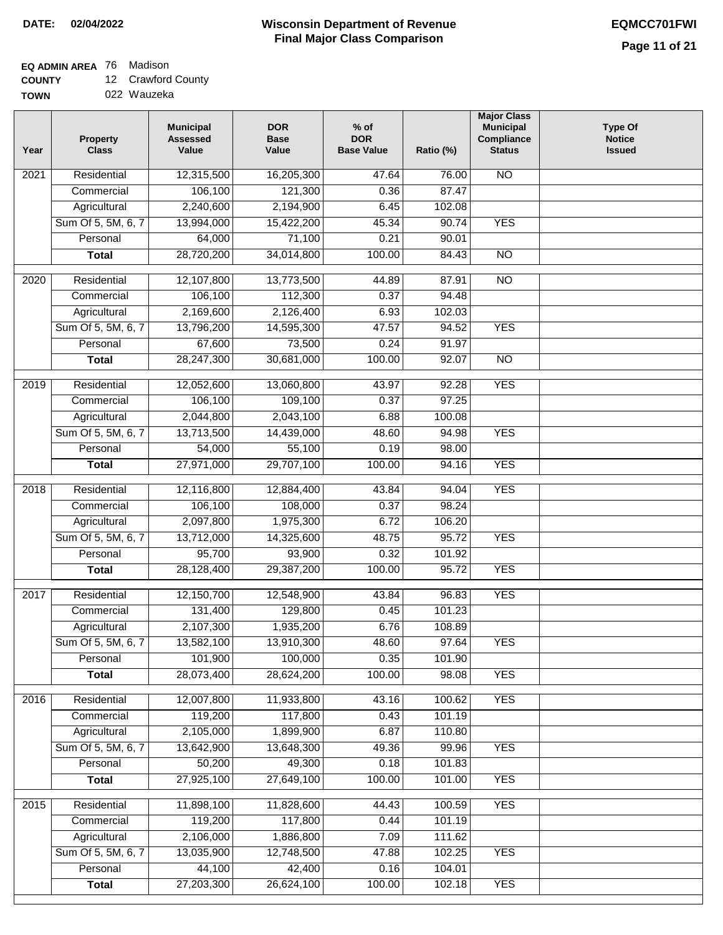### **Wisconsin Department of Revenue Final Major Class Comparison DATE: 02/04/2022 EQMCC701FWI**

## **EQ ADMIN AREA** 76 Madison

**COUNTY** 12 Crawford County

| <b>TOWN</b> | 022 Wauzeka |
|-------------|-------------|
|-------------|-------------|

| Year              | <b>Property</b><br><b>Class</b> | <b>Municipal</b><br><b>Assessed</b><br>Value | <b>DOR</b><br><b>Base</b><br>Value | $%$ of<br><b>DOR</b><br><b>Base Value</b> | Ratio (%) | <b>Major Class</b><br><b>Municipal</b><br>Compliance<br><b>Status</b> | <b>Type Of</b><br><b>Notice</b><br><b>Issued</b> |
|-------------------|---------------------------------|----------------------------------------------|------------------------------------|-------------------------------------------|-----------|-----------------------------------------------------------------------|--------------------------------------------------|
| $\overline{202}1$ | Residential                     | 12,315,500                                   | 16,205,300                         | 47.64                                     | 76.00     | <b>NO</b>                                                             |                                                  |
|                   | Commercial                      | 106,100                                      | 121,300                            | 0.36                                      | 87.47     |                                                                       |                                                  |
|                   | Agricultural                    | 2,240,600                                    | 2,194,900                          | 6.45                                      | 102.08    |                                                                       |                                                  |
|                   | Sum Of 5, 5M, 6, 7              | 13,994,000                                   | 15,422,200                         | 45.34                                     | 90.74     | <b>YES</b>                                                            |                                                  |
|                   | Personal                        | 64,000                                       | 71,100                             | 0.21                                      | 90.01     |                                                                       |                                                  |
|                   | <b>Total</b>                    | 28,720,200                                   | 34,014,800                         | 100.00                                    | 84.43     | $\overline{NO}$                                                       |                                                  |
| 2020              | Residential                     | 12,107,800                                   | 13,773,500                         | 44.89                                     | 87.91     | $\overline{NO}$                                                       |                                                  |
|                   | Commercial                      | 106,100                                      | 112,300                            | 0.37                                      | 94.48     |                                                                       |                                                  |
|                   | Agricultural                    | 2,169,600                                    | 2,126,400                          | 6.93                                      | 102.03    |                                                                       |                                                  |
|                   | Sum Of 5, 5M, 6, 7              | 13,796,200                                   | 14,595,300                         | 47.57                                     | 94.52     | <b>YES</b>                                                            |                                                  |
|                   | Personal                        | 67,600                                       | 73,500                             | 0.24                                      | 91.97     |                                                                       |                                                  |
|                   | <b>Total</b>                    | 28,247,300                                   | 30,681,000                         | 100.00                                    | 92.07     | $\overline{NO}$                                                       |                                                  |
| 2019              | Residential                     | 12,052,600                                   | 13,060,800                         | 43.97                                     | 92.28     | <b>YES</b>                                                            |                                                  |
|                   | Commercial                      | 106,100                                      | 109,100                            | 0.37                                      | 97.25     |                                                                       |                                                  |
|                   | Agricultural                    | 2,044,800                                    | 2,043,100                          | 6.88                                      | 100.08    |                                                                       |                                                  |
|                   | Sum Of 5, 5M, 6, 7              | 13,713,500                                   | 14,439,000                         | 48.60                                     | 94.98     | <b>YES</b>                                                            |                                                  |
|                   | Personal                        | 54,000                                       | 55,100                             | 0.19                                      | 98.00     |                                                                       |                                                  |
|                   | <b>Total</b>                    | 27,971,000                                   | 29,707,100                         | 100.00                                    | 94.16     | <b>YES</b>                                                            |                                                  |
|                   |                                 |                                              |                                    |                                           |           |                                                                       |                                                  |
| $\overline{20}18$ | Residential                     | 12,116,800                                   | 12,884,400                         | 43.84                                     | 94.04     | <b>YES</b>                                                            |                                                  |
|                   | Commercial                      | 106,100                                      | 108,000                            | 0.37                                      | 98.24     |                                                                       |                                                  |
|                   | Agricultural                    | 2,097,800                                    | 1,975,300                          | 6.72                                      | 106.20    |                                                                       |                                                  |
|                   | Sum Of 5, 5M, 6, 7              | 13,712,000                                   | 14,325,600                         | 48.75                                     | 95.72     | <b>YES</b>                                                            |                                                  |
|                   | Personal                        | 95,700                                       | 93,900                             | 0.32                                      | 101.92    |                                                                       |                                                  |
|                   | <b>Total</b>                    | 28,128,400                                   | 29,387,200                         | 100.00                                    | 95.72     | <b>YES</b>                                                            |                                                  |
| 2017              | Residential                     | 12,150,700                                   | 12,548,900                         | 43.84                                     | 96.83     | <b>YES</b>                                                            |                                                  |
|                   | Commercial                      | 131,400                                      | 129,800                            | 0.45                                      | 101.23    |                                                                       |                                                  |
|                   | Agricultural                    | 2,107,300                                    | 1,935,200                          | 6.76                                      | 108.89    |                                                                       |                                                  |
|                   | Sum Of 5, 5M, 6, 7              | 13,582,100                                   | 13,910,300                         | 48.60                                     | 97.64     | <b>YES</b>                                                            |                                                  |
|                   | Personal                        | 101,900                                      | 100,000                            | 0.35                                      | 101.90    |                                                                       |                                                  |
|                   | <b>Total</b>                    | 28,073,400                                   | 28,624,200                         | 100.00                                    | 98.08     | <b>YES</b>                                                            |                                                  |
| 2016              | Residential                     | 12,007,800                                   | 11,933,800                         | 43.16                                     | 100.62    | <b>YES</b>                                                            |                                                  |
|                   | Commercial                      | 119,200                                      | 117,800                            | 0.43                                      | 101.19    |                                                                       |                                                  |
|                   | Agricultural                    | 2,105,000                                    | 1,899,900                          | 6.87                                      | 110.80    |                                                                       |                                                  |
|                   | Sum Of 5, 5M, 6, 7              | 13,642,900                                   | 13,648,300                         | 49.36                                     | 99.96     | <b>YES</b>                                                            |                                                  |
|                   | Personal                        | 50,200                                       | 49,300                             | 0.18                                      | 101.83    |                                                                       |                                                  |
|                   | <b>Total</b>                    | 27,925,100                                   | 27,649,100                         | 100.00                                    | 101.00    | <b>YES</b>                                                            |                                                  |
| 2015              | Residential                     | 11,898,100                                   | 11,828,600                         | 44.43                                     | 100.59    | <b>YES</b>                                                            |                                                  |
|                   | Commercial                      | 119,200                                      | 117,800                            | 0.44                                      | 101.19    |                                                                       |                                                  |
|                   | Agricultural                    | 2,106,000                                    | 1,886,800                          | 7.09                                      | 111.62    |                                                                       |                                                  |
|                   | Sum Of 5, 5M, 6, 7              | 13,035,900                                   | 12,748,500                         | 47.88                                     | 102.25    | <b>YES</b>                                                            |                                                  |
|                   | Personal                        | 44,100                                       | 42,400                             | 0.16                                      | 104.01    |                                                                       |                                                  |
|                   | <b>Total</b>                    | 27,203,300                                   | 26,624,100                         | 100.00                                    | 102.18    | <b>YES</b>                                                            |                                                  |
|                   |                                 |                                              |                                    |                                           |           |                                                                       |                                                  |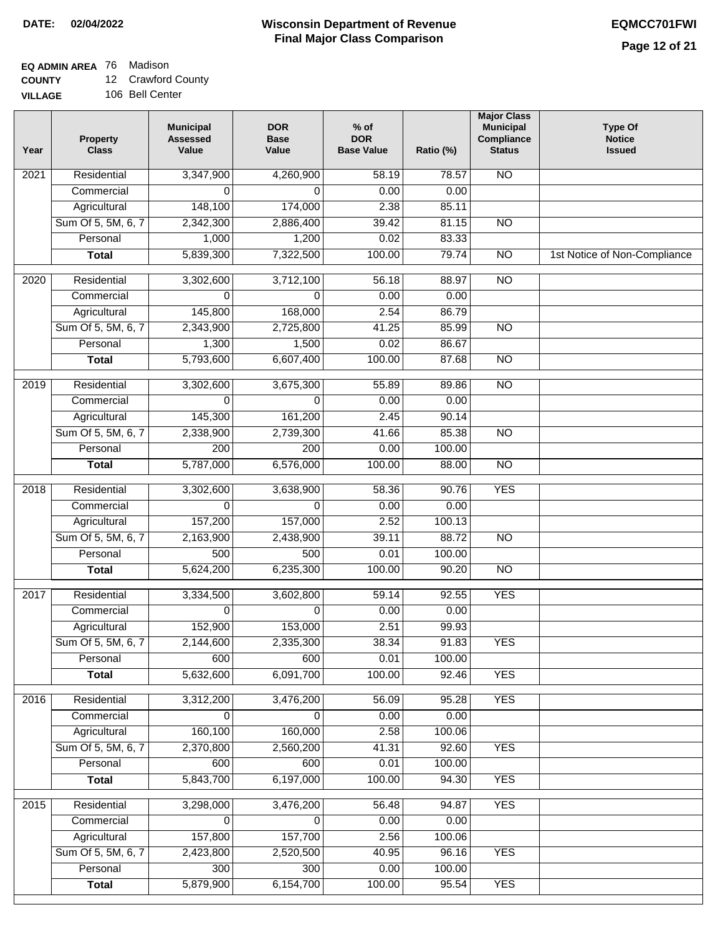### **Wisconsin Department of Revenue Final Major Class Comparison DATE: 02/04/2022 EQMCC701FWI**

٦

## **EQ ADMIN AREA** 76 Madison

**COUNTY** 12 Crawford County

| Year | Property<br><b>Class</b> | <b>Municipal</b><br><b>Assessed</b><br>Value | <b>DOR</b><br><b>Base</b><br>Value | $%$ of<br><b>DOR</b><br><b>Base Value</b> | Ratio (%) | <b>Major Class</b><br><b>Municipal</b><br>Compliance<br><b>Status</b> | <b>Type Of</b><br><b>Notice</b><br><b>Issued</b> |
|------|--------------------------|----------------------------------------------|------------------------------------|-------------------------------------------|-----------|-----------------------------------------------------------------------|--------------------------------------------------|
| 2021 | Residential              | 3,347,900                                    | 4,260,900                          | 58.19                                     | 78.57     | <b>NO</b>                                                             |                                                  |
|      | Commercial               | $\Omega$                                     | 0                                  | 0.00                                      | 0.00      |                                                                       |                                                  |
|      | Agricultural             | 148,100                                      | 174,000                            | 2.38                                      | 85.11     |                                                                       |                                                  |
|      | Sum Of 5, 5M, 6, 7       | 2,342,300                                    | 2,886,400                          | 39.42                                     | 81.15     | <b>NO</b>                                                             |                                                  |
|      | Personal                 | 1,000                                        | 1,200                              | 0.02                                      | 83.33     |                                                                       |                                                  |
|      | <b>Total</b>             | 5,839,300                                    | 7,322,500                          | 100.00                                    | 79.74     | $\overline{NO}$                                                       | 1st Notice of Non-Compliance                     |
| 2020 | Residential              | 3,302,600                                    | 3,712,100                          | 56.18                                     | 88.97     | $\overline{NO}$                                                       |                                                  |
|      | Commercial               | $\Omega$                                     | $\Omega$                           | 0.00                                      | 0.00      |                                                                       |                                                  |
|      | Agricultural             | 145,800                                      | 168,000                            | 2.54                                      | 86.79     |                                                                       |                                                  |
|      | Sum Of 5, 5M, 6, 7       | 2,343,900                                    | 2,725,800                          | 41.25                                     | 85.99     | $\overline{NO}$                                                       |                                                  |
|      | Personal                 | 1,300                                        | 1,500                              | 0.02                                      | 86.67     |                                                                       |                                                  |
|      | <b>Total</b>             | 5,793,600                                    | 6,607,400                          | 100.00                                    | 87.68     | $\overline{NO}$                                                       |                                                  |
|      |                          |                                              |                                    |                                           |           |                                                                       |                                                  |
| 2019 | Residential              | 3,302,600                                    | 3,675,300                          | 55.89                                     | 89.86     | <b>NO</b>                                                             |                                                  |
|      | Commercial               | $\Omega$                                     | $\Omega$                           | 0.00                                      | 0.00      |                                                                       |                                                  |
|      | Agricultural             | 145,300                                      | 161,200                            | 2.45                                      | 90.14     |                                                                       |                                                  |
|      | Sum Of 5, 5M, 6, 7       | 2,338,900                                    | 2,739,300                          | 41.66                                     | 85.38     | $\overline{NO}$                                                       |                                                  |
|      | Personal                 | $\overline{200}$                             | 200                                | 0.00                                      | 100.00    |                                                                       |                                                  |
|      | <b>Total</b>             | 5,787,000                                    | 6,576,000                          | 100.00                                    | 88.00     | $\overline{NO}$                                                       |                                                  |
| 2018 | Residential              | 3,302,600                                    | 3,638,900                          | 58.36                                     | 90.76     | <b>YES</b>                                                            |                                                  |
|      | Commercial               | $\Omega$                                     | 0                                  | 0.00                                      | 0.00      |                                                                       |                                                  |
|      | Agricultural             | 157,200                                      | 157,000                            | 2.52                                      | 100.13    |                                                                       |                                                  |
|      | Sum Of 5, 5M, 6, 7       | 2,163,900                                    | 2,438,900                          | 39.11                                     | 88.72     | $\overline{NO}$                                                       |                                                  |
|      | Personal                 | 500                                          | 500                                | 0.01                                      | 100.00    |                                                                       |                                                  |
|      | <b>Total</b>             | 5,624,200                                    | 6,235,300                          | 100.00                                    | 90.20     | <b>NO</b>                                                             |                                                  |
| 2017 | Residential              | 3,334,500                                    | 3,602,800                          | 59.14                                     | 92.55     | <b>YES</b>                                                            |                                                  |
|      | Commercial               | $\Omega$                                     | $\Omega$                           | 0.00                                      | 0.00      |                                                                       |                                                  |
|      | Agricultural             | 152,900                                      | 153,000                            | 2.51                                      | 99.93     |                                                                       |                                                  |
|      | Sum Of 5, 5M, 6, 7       | 2,144,600                                    | 2,335,300                          | 38.34                                     | 91.83     | <b>YES</b>                                                            |                                                  |
|      | Personal                 | 600                                          | 600                                | 0.01                                      | 100.00    |                                                                       |                                                  |
|      | <b>Total</b>             | 5,632,600                                    | 6,091,700                          | 100.00                                    | 92.46     | <b>YES</b>                                                            |                                                  |
| 2016 | Residential              | 3,312,200                                    | 3,476,200                          | 56.09                                     | 95.28     | <b>YES</b>                                                            |                                                  |
|      | Commercial               | 0                                            | 0                                  | 0.00                                      | 0.00      |                                                                       |                                                  |
|      | Agricultural             | 160,100                                      | 160,000                            | 2.58                                      | 100.06    |                                                                       |                                                  |
|      | Sum Of 5, 5M, 6, 7       | 2,370,800                                    | 2,560,200                          | 41.31                                     | 92.60     | <b>YES</b>                                                            |                                                  |
|      | Personal                 | 600                                          | 600                                | 0.01                                      | 100.00    |                                                                       |                                                  |
|      | <b>Total</b>             | 5,843,700                                    | 6,197,000                          | 100.00                                    | 94.30     | <b>YES</b>                                                            |                                                  |
|      |                          |                                              |                                    |                                           |           |                                                                       |                                                  |
| 2015 | Residential              | 3,298,000                                    | 3,476,200                          | 56.48                                     | 94.87     | <b>YES</b>                                                            |                                                  |
|      | Commercial               | 0                                            | 0                                  | 0.00                                      | 0.00      |                                                                       |                                                  |
|      | Agricultural             | 157,800                                      | 157,700                            | 2.56                                      | 100.06    |                                                                       |                                                  |
|      | Sum Of 5, 5M, 6, 7       | 2,423,800                                    | 2,520,500                          | 40.95                                     | 96.16     | <b>YES</b>                                                            |                                                  |
|      | Personal                 | 300                                          | 300                                | 0.00                                      | 100.00    |                                                                       |                                                  |
|      | <b>Total</b>             | 5,879,900                                    | 6,154,700                          | 100.00                                    | 95.54     | <b>YES</b>                                                            |                                                  |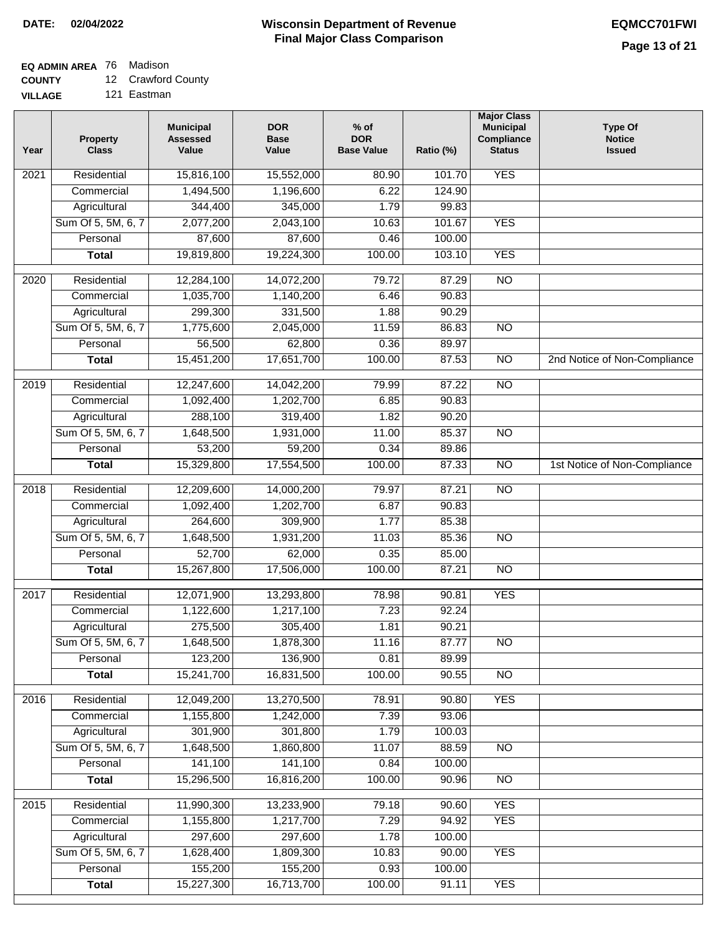## **EQ ADMIN AREA** 76 Madison

**COUNTY** 12 Crawford County

**VILLAGE** 121 Eastman

| Year              | <b>Property</b><br><b>Class</b> | <b>Municipal</b><br><b>Assessed</b><br>Value | <b>DOR</b><br><b>Base</b><br>Value | $%$ of<br><b>DOR</b><br><b>Base Value</b> | Ratio (%) | <b>Major Class</b><br><b>Municipal</b><br>Compliance<br><b>Status</b> | <b>Type Of</b><br><b>Notice</b><br><b>Issued</b> |
|-------------------|---------------------------------|----------------------------------------------|------------------------------------|-------------------------------------------|-----------|-----------------------------------------------------------------------|--------------------------------------------------|
| $\overline{202}1$ | Residential                     | 15,816,100                                   | 15,552,000                         | 80.90                                     | 101.70    | <b>YES</b>                                                            |                                                  |
|                   | Commercial                      | 1,494,500                                    | 1,196,600                          | 6.22                                      | 124.90    |                                                                       |                                                  |
|                   | Agricultural                    | 344,400                                      | 345,000                            | 1.79                                      | 99.83     |                                                                       |                                                  |
|                   | Sum Of 5, 5M, 6, 7              | 2,077,200                                    | 2,043,100                          | 10.63                                     | 101.67    | <b>YES</b>                                                            |                                                  |
|                   | Personal                        | 87,600                                       | 87,600                             | 0.46                                      | 100.00    |                                                                       |                                                  |
|                   | <b>Total</b>                    | 19,819,800                                   | 19,224,300                         | 100.00                                    | 103.10    | <b>YES</b>                                                            |                                                  |
| $\overline{2020}$ | Residential                     | 12,284,100                                   | 14,072,200                         | 79.72                                     | 87.29     | $\overline{NO}$                                                       |                                                  |
|                   | Commercial                      | 1,035,700                                    | 1,140,200                          | 6.46                                      | 90.83     |                                                                       |                                                  |
|                   | Agricultural                    | 299,300                                      | 331,500                            | 1.88                                      | 90.29     |                                                                       |                                                  |
|                   | Sum Of 5, 5M, 6, 7              | 1,775,600                                    | 2,045,000                          | 11.59                                     | 86.83     | $\overline{NO}$                                                       |                                                  |
|                   | Personal                        | 56,500                                       | 62,800                             | 0.36                                      | 89.97     |                                                                       |                                                  |
|                   | <b>Total</b>                    | 15,451,200                                   | 17,651,700                         | 100.00                                    | 87.53     | $\overline{NO}$                                                       | 2nd Notice of Non-Compliance                     |
| 2019              | Residential                     | 12,247,600                                   | 14,042,200                         | 79.99                                     | 87.22     | $\overline{NO}$                                                       |                                                  |
|                   | Commercial                      | 1,092,400                                    | 1,202,700                          | 6.85                                      | 90.83     |                                                                       |                                                  |
|                   | Agricultural                    | 288,100                                      | 319,400                            | 1.82                                      | 90.20     |                                                                       |                                                  |
|                   | Sum Of 5, 5M, 6, 7              | 1,648,500                                    | 1,931,000                          | 11.00                                     | 85.37     | $\overline{NO}$                                                       |                                                  |
|                   | Personal                        | 53,200                                       | 59,200                             | 0.34                                      | 89.86     |                                                                       |                                                  |
|                   | <b>Total</b>                    | 15,329,800                                   | 17,554,500                         | 100.00                                    | 87.33     | $\overline{NO}$                                                       | 1st Notice of Non-Compliance                     |
| 2018              | Residential                     | 12,209,600                                   | 14,000,200                         | 79.97                                     | 87.21     | $\overline{NO}$                                                       |                                                  |
|                   | Commercial                      | 1,092,400                                    | 1,202,700                          | 6.87                                      | 90.83     |                                                                       |                                                  |
|                   | Agricultural                    | 264,600                                      | 309,900                            | 1.77                                      | 85.38     |                                                                       |                                                  |
|                   | Sum Of 5, 5M, 6, 7              | 1,648,500                                    | 1,931,200                          | 11.03                                     | 85.36     | $\overline{10}$                                                       |                                                  |
|                   | Personal                        | 52,700                                       | 62,000                             | 0.35                                      | 85.00     |                                                                       |                                                  |
|                   | <b>Total</b>                    | 15,267,800                                   | 17,506,000                         | 100.00                                    | 87.21     | <b>NO</b>                                                             |                                                  |
| $\overline{2017}$ | Residential                     | 12,071,900                                   | 13,293,800                         | 78.98                                     | 90.81     | <b>YES</b>                                                            |                                                  |
|                   | Commercial                      | 1,122,600                                    | 1,217,100                          | 7.23                                      | 92.24     |                                                                       |                                                  |
|                   | Agricultural                    | 275,500                                      | 305,400                            | 1.81                                      | 90.21     |                                                                       |                                                  |
|                   | Sum Of 5, 5M, 6, 7              | 1,648,500                                    | 1,878,300                          | 11.16                                     | 87.77     | <b>NO</b>                                                             |                                                  |
|                   | Personal                        | 123,200                                      | 136,900                            | 0.81                                      | 89.99     |                                                                       |                                                  |
|                   | <b>Total</b>                    | 15,241,700                                   | 16,831,500                         | 100.00                                    | 90.55     | <b>NO</b>                                                             |                                                  |
| 2016              | Residential                     | 12,049,200                                   | 13,270,500                         | 78.91                                     | 90.80     | <b>YES</b>                                                            |                                                  |
|                   | Commercial                      | 1,155,800                                    | 1,242,000                          | 7.39                                      | 93.06     |                                                                       |                                                  |
|                   | Agricultural                    | 301,900                                      | 301,800                            | 1.79                                      | 100.03    |                                                                       |                                                  |
|                   | Sum Of 5, 5M, 6, 7              | 1,648,500                                    | 1,860,800                          | 11.07                                     | 88.59     | $\overline{NO}$                                                       |                                                  |
|                   | Personal                        | 141,100                                      | 141,100                            | 0.84                                      | 100.00    |                                                                       |                                                  |
|                   | <b>Total</b>                    | 15,296,500                                   | 16,816,200                         | 100.00                                    | 90.96     | N <sub>O</sub>                                                        |                                                  |
| 2015              | Residential                     | 11,990,300                                   | 13,233,900                         | 79.18                                     | 90.60     | <b>YES</b>                                                            |                                                  |
|                   | Commercial                      | 1,155,800                                    | 1,217,700                          | 7.29                                      | 94.92     | <b>YES</b>                                                            |                                                  |
|                   | Agricultural                    | 297,600                                      | 297,600                            | 1.78                                      | 100.00    |                                                                       |                                                  |
|                   | Sum Of 5, 5M, 6, 7              | 1,628,400                                    | 1,809,300                          | 10.83                                     | 90.00     | <b>YES</b>                                                            |                                                  |
|                   | Personal                        | 155,200                                      | 155,200                            | 0.93                                      | 100.00    |                                                                       |                                                  |
|                   | <b>Total</b>                    | 15,227,300                                   | 16,713,700                         | 100.00                                    | 91.11     | <b>YES</b>                                                            |                                                  |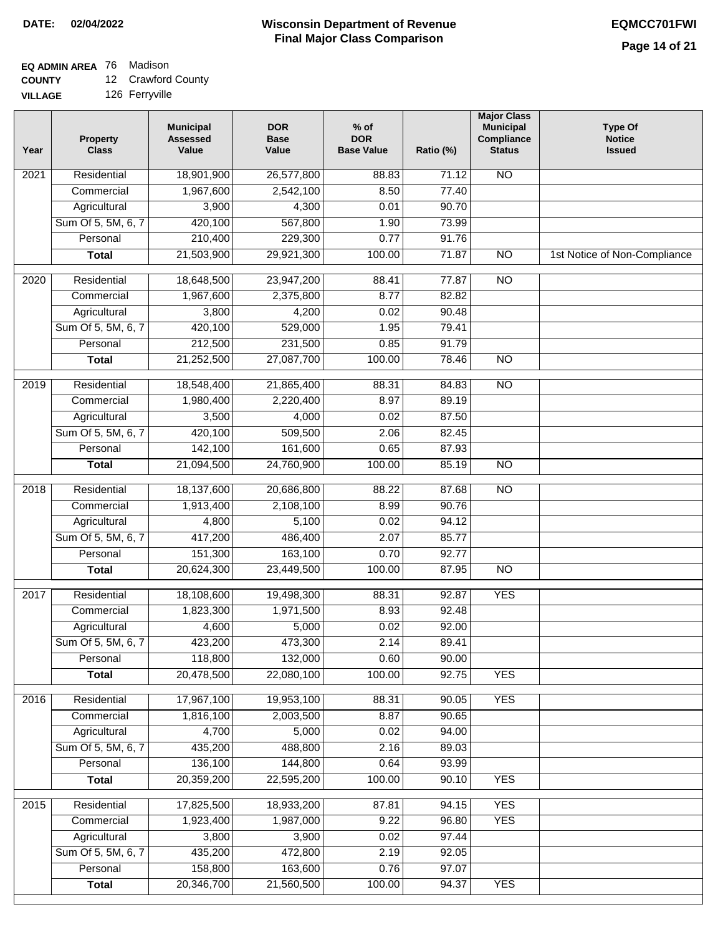## **EQ ADMIN AREA** 76 Madison

**COUNTY** 12 Crawford County

**VILLAGE** 126 Ferryville

| Year              | <b>Property</b><br><b>Class</b> | <b>Municipal</b><br><b>Assessed</b><br>Value | <b>DOR</b><br><b>Base</b><br>Value | $%$ of<br><b>DOR</b><br><b>Base Value</b> | Ratio (%) | <b>Major Class</b><br><b>Municipal</b><br>Compliance<br><b>Status</b> | <b>Type Of</b><br><b>Notice</b><br><b>Issued</b> |
|-------------------|---------------------------------|----------------------------------------------|------------------------------------|-------------------------------------------|-----------|-----------------------------------------------------------------------|--------------------------------------------------|
| $\frac{1}{202}$ 1 | Residential                     | 18,901,900                                   | 26,577,800                         | 88.83                                     | 71.12     | $\overline{NO}$                                                       |                                                  |
|                   | Commercial                      | 1,967,600                                    | 2,542,100                          | 8.50                                      | 77.40     |                                                                       |                                                  |
|                   | Agricultural                    | 3,900                                        | 4,300                              | 0.01                                      | 90.70     |                                                                       |                                                  |
|                   | Sum Of 5, 5M, 6, 7              | 420,100                                      | 567,800                            | 1.90                                      | 73.99     |                                                                       |                                                  |
|                   | Personal                        | 210,400                                      | 229,300                            | 0.77                                      | 91.76     |                                                                       |                                                  |
|                   | <b>Total</b>                    | 21,503,900                                   | 29,921,300                         | 100.00                                    | 71.87     | $\overline{NO}$                                                       | 1st Notice of Non-Compliance                     |
| 2020              | Residential                     | 18,648,500                                   | 23,947,200                         | 88.41                                     | 77.87     | $\overline{NO}$                                                       |                                                  |
|                   | Commercial                      | 1,967,600                                    | 2,375,800                          | 8.77                                      | 82.82     |                                                                       |                                                  |
|                   | Agricultural                    | 3,800                                        | 4,200                              | 0.02                                      | 90.48     |                                                                       |                                                  |
|                   | Sum Of 5, 5M, 6, 7              | 420,100                                      | 529,000                            | 1.95                                      | 79.41     |                                                                       |                                                  |
|                   | Personal                        | 212,500                                      | 231,500                            | 0.85                                      | 91.79     |                                                                       |                                                  |
|                   | <b>Total</b>                    | 21,252,500                                   | 27,087,700                         | 100.00                                    | 78.46     | $\overline{NO}$                                                       |                                                  |
| 2019              | Residential                     | 18,548,400                                   | 21,865,400                         | 88.31                                     | 84.83     | <b>NO</b>                                                             |                                                  |
|                   | Commercial                      | 1,980,400                                    | 2,220,400                          | 8.97                                      | 89.19     |                                                                       |                                                  |
|                   | Agricultural                    | 3,500                                        | 4,000                              | 0.02                                      | 87.50     |                                                                       |                                                  |
|                   | Sum Of 5, 5M, 6, 7              | 420,100                                      | 509,500                            | 2.06                                      | 82.45     |                                                                       |                                                  |
|                   | Personal                        | 142,100                                      | 161,600                            | 0.65                                      | 87.93     |                                                                       |                                                  |
|                   | <b>Total</b>                    | 21,094,500                                   | 24,760,900                         | 100.00                                    | 85.19     | $\overline{NO}$                                                       |                                                  |
| 2018              | Residential                     | 18,137,600                                   | 20,686,800                         | 88.22                                     | 87.68     | N <sub>O</sub>                                                        |                                                  |
|                   | Commercial                      | 1,913,400                                    | 2,108,100                          | 8.99                                      | 90.76     |                                                                       |                                                  |
|                   | Agricultural                    | 4,800                                        | 5,100                              | 0.02                                      | 94.12     |                                                                       |                                                  |
|                   | Sum Of 5, 5M, 6, 7              | 417,200                                      | 486,400                            | 2.07                                      | 85.77     |                                                                       |                                                  |
|                   | Personal                        | 151,300                                      | 163,100                            | 0.70                                      | 92.77     |                                                                       |                                                  |
|                   | <b>Total</b>                    | 20,624,300                                   | 23,449,500                         | 100.00                                    | 87.95     | <b>NO</b>                                                             |                                                  |
| $\overline{20}17$ | Residential                     | 18,108,600                                   | 19,498,300                         | 88.31                                     | 92.87     | <b>YES</b>                                                            |                                                  |
|                   | Commercial                      | 1,823,300                                    | 1,971,500                          | 8.93                                      | 92.48     |                                                                       |                                                  |
|                   | Agricultural                    | 4,600                                        | 5,000                              | 0.02                                      | 92.00     |                                                                       |                                                  |
|                   | Sum Of 5, 5M, 6, 7              | 423,200                                      | 473,300                            | 2.14                                      | 89.41     |                                                                       |                                                  |
|                   | Personal                        | 118,800                                      | 132,000                            | 0.60                                      | 90.00     |                                                                       |                                                  |
|                   | <b>Total</b>                    | 20,478,500                                   | 22,080,100                         | 100.00                                    | 92.75     | <b>YES</b>                                                            |                                                  |
| 2016              | Residential                     | 17,967,100                                   | 19,953,100                         | 88.31                                     | 90.05     | <b>YES</b>                                                            |                                                  |
|                   | Commercial                      | 1,816,100                                    | 2,003,500                          | 8.87                                      | 90.65     |                                                                       |                                                  |
|                   | Agricultural                    | 4,700                                        | 5,000                              | 0.02                                      | 94.00     |                                                                       |                                                  |
|                   | Sum Of 5, 5M, 6, 7              | 435,200                                      | 488,800                            | 2.16                                      | 89.03     |                                                                       |                                                  |
|                   | Personal                        | 136,100                                      | 144,800                            | 0.64                                      | 93.99     |                                                                       |                                                  |
|                   | <b>Total</b>                    | 20,359,200                                   | 22,595,200                         | 100.00                                    | 90.10     | <b>YES</b>                                                            |                                                  |
| 2015              | Residential                     | 17,825,500                                   | 18,933,200                         | 87.81                                     | 94.15     | <b>YES</b>                                                            |                                                  |
|                   | Commercial                      | 1,923,400                                    | 1,987,000                          | 9.22                                      | 96.80     | <b>YES</b>                                                            |                                                  |
|                   | Agricultural                    | 3,800                                        | 3,900                              | 0.02                                      | 97.44     |                                                                       |                                                  |
|                   | Sum Of 5, 5M, 6, 7              | 435,200                                      | 472,800                            | 2.19                                      | 92.05     |                                                                       |                                                  |
|                   | Personal                        | 158,800                                      | 163,600                            | 0.76                                      | 97.07     |                                                                       |                                                  |
|                   | <b>Total</b>                    | 20,346,700                                   | 21,560,500                         | 100.00                                    | 94.37     | <b>YES</b>                                                            |                                                  |
|                   |                                 |                                              |                                    |                                           |           |                                                                       |                                                  |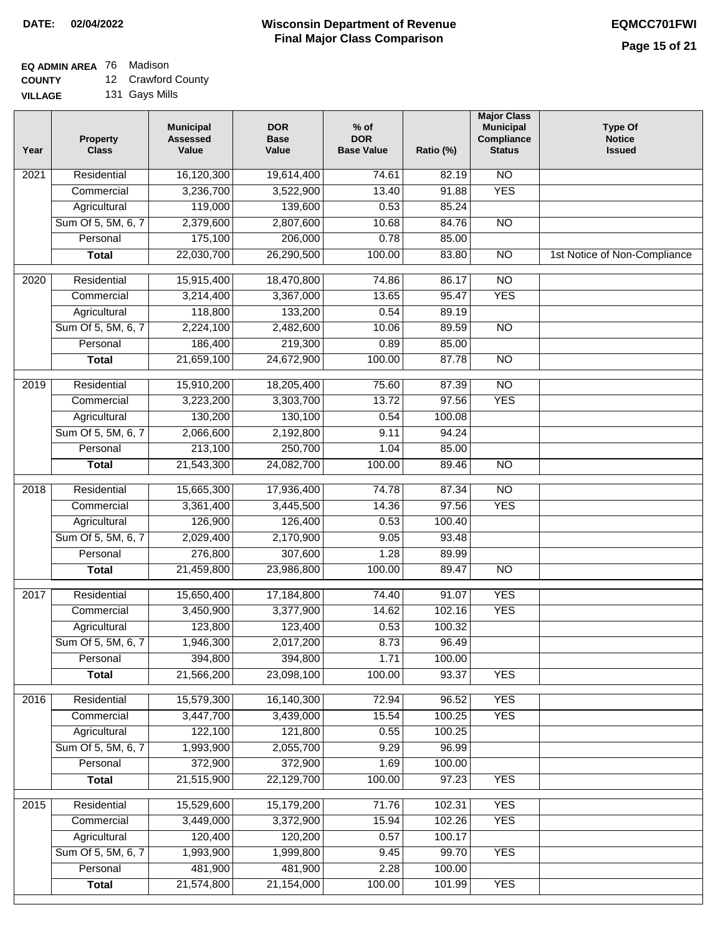## **EQ ADMIN AREA** 76 Madison

**COUNTY** 12 Crawford County

| Year | <b>Property</b><br><b>Class</b> | <b>Municipal</b><br><b>Assessed</b><br>Value | <b>DOR</b><br><b>Base</b><br>Value | $%$ of<br><b>DOR</b><br><b>Base Value</b> | Ratio (%) | <b>Major Class</b><br><b>Municipal</b><br>Compliance<br><b>Status</b> | <b>Type Of</b><br><b>Notice</b><br><b>Issued</b> |
|------|---------------------------------|----------------------------------------------|------------------------------------|-------------------------------------------|-----------|-----------------------------------------------------------------------|--------------------------------------------------|
| 2021 | Residential                     | 16,120,300                                   | 19,614,400                         | 74.61                                     | 82.19     | N <sub>O</sub>                                                        |                                                  |
|      | Commercial                      | 3,236,700                                    | 3,522,900                          | 13.40                                     | 91.88     | <b>YES</b>                                                            |                                                  |
|      | Agricultural                    | 119,000                                      | 139,600                            | 0.53                                      | 85.24     |                                                                       |                                                  |
|      | Sum Of 5, 5M, 6, 7              | 2,379,600                                    | 2,807,600                          | 10.68                                     | 84.76     | $\overline{NO}$                                                       |                                                  |
|      | Personal                        | 175,100                                      | 206,000                            | 0.78                                      | 85.00     |                                                                       |                                                  |
|      | <b>Total</b>                    | 22,030,700                                   | 26,290,500                         | 100.00                                    | 83.80     | $\overline{NO}$                                                       | 1st Notice of Non-Compliance                     |
| 2020 | Residential                     | 15,915,400                                   | 18,470,800                         | 74.86                                     | 86.17     | $\overline{3}$                                                        |                                                  |
|      | Commercial                      | 3,214,400                                    | 3,367,000                          | 13.65                                     | 95.47     | <b>YES</b>                                                            |                                                  |
|      | Agricultural                    | 118,800                                      | 133,200                            | 0.54                                      | 89.19     |                                                                       |                                                  |
|      | Sum Of 5, 5M, 6, 7              | 2,224,100                                    | 2,482,600                          | 10.06                                     | 89.59     | $\overline{NO}$                                                       |                                                  |
|      | Personal                        | 186,400                                      | 219,300                            | 0.89                                      | 85.00     |                                                                       |                                                  |
|      | <b>Total</b>                    | 21,659,100                                   | 24,672,900                         | 100.00                                    | 87.78     | $\overline{NO}$                                                       |                                                  |
| 2019 | Residential                     | 15,910,200                                   | 18,205,400                         | 75.60                                     | 87.39     | N <sub>O</sub>                                                        |                                                  |
|      | Commercial                      | 3,223,200                                    | 3,303,700                          | 13.72                                     | 97.56     | <b>YES</b>                                                            |                                                  |
|      | Agricultural                    | 130,200                                      | 130,100                            | 0.54                                      | 100.08    |                                                                       |                                                  |
|      | Sum Of 5, 5M, 6, 7              | 2,066,600                                    | 2,192,800                          | 9.11                                      | 94.24     |                                                                       |                                                  |
|      | Personal                        | 213,100                                      | 250,700                            | 1.04                                      | 85.00     |                                                                       |                                                  |
|      | <b>Total</b>                    | 21,543,300                                   | 24,082,700                         | 100.00                                    | 89.46     | <b>NO</b>                                                             |                                                  |
| 2018 | Residential                     | 15,665,300                                   | 17,936,400                         | 74.78                                     | 87.34     | $\overline{NO}$                                                       |                                                  |
|      | Commercial                      | 3,361,400                                    | 3,445,500                          | 14.36                                     | 97.56     | <b>YES</b>                                                            |                                                  |
|      | Agricultural                    | 126,900                                      | 126,400                            | 0.53                                      | 100.40    |                                                                       |                                                  |
|      | Sum Of 5, 5M, 6, 7              | 2,029,400                                    | 2,170,900                          | 9.05                                      | 93.48     |                                                                       |                                                  |
|      | Personal                        | 276,800                                      | 307,600                            | 1.28                                      | 89.99     |                                                                       |                                                  |
|      | <b>Total</b>                    | 21,459,800                                   | 23,986,800                         | 100.00                                    | 89.47     | $\overline{10}$                                                       |                                                  |
| 2017 | Residential                     | 15,650,400                                   | 17,184,800                         | 74.40                                     | 91.07     | <b>YES</b>                                                            |                                                  |
|      | Commercial                      | 3,450,900                                    | 3,377,900                          | 14.62                                     | 102.16    | <b>YES</b>                                                            |                                                  |
|      | Agricultural                    | 123,800                                      | 123,400                            | 0.53                                      | 100.32    |                                                                       |                                                  |
|      | Sum Of 5, 5M, 6, 7              | 1,946,300                                    | 2,017,200                          | 8.73                                      | 96.49     |                                                                       |                                                  |
|      | Personal                        | 394,800                                      | 394,800                            | 1.71                                      | 100.00    |                                                                       |                                                  |
|      | <b>Total</b>                    | 21,566,200                                   | 23,098,100                         | 100.00                                    | 93.37     | <b>YES</b>                                                            |                                                  |
| 2016 | Residential                     | 15,579,300                                   | 16,140,300                         | 72.94                                     | 96.52     | <b>YES</b>                                                            |                                                  |
|      | Commercial                      | 3,447,700                                    | 3,439,000                          | 15.54                                     | 100.25    | <b>YES</b>                                                            |                                                  |
|      | Agricultural                    | 122,100                                      | 121,800                            | 0.55                                      | 100.25    |                                                                       |                                                  |
|      | Sum Of 5, 5M, 6, 7              | 1,993,900                                    | 2,055,700                          | 9.29                                      | 96.99     |                                                                       |                                                  |
|      | Personal                        | 372,900                                      | 372,900                            | 1.69                                      | 100.00    |                                                                       |                                                  |
|      | <b>Total</b>                    | 21,515,900                                   | 22,129,700                         | 100.00                                    | 97.23     | <b>YES</b>                                                            |                                                  |
| 2015 | Residential                     | 15,529,600                                   | 15,179,200                         | 71.76                                     | 102.31    | <b>YES</b>                                                            |                                                  |
|      | Commercial                      | 3,449,000                                    | 3,372,900                          | 15.94                                     | 102.26    | <b>YES</b>                                                            |                                                  |
|      | Agricultural                    | 120,400                                      | 120,200                            | 0.57                                      | 100.17    |                                                                       |                                                  |
|      | Sum Of 5, 5M, 6, 7              | 1,993,900                                    | 1,999,800                          | 9.45                                      | 99.70     | <b>YES</b>                                                            |                                                  |
|      | Personal                        | 481,900                                      | 481,900                            | 2.28                                      | 100.00    |                                                                       |                                                  |
|      | <b>Total</b>                    | 21,574,800                                   | 21,154,000                         | 100.00                                    | 101.99    | <b>YES</b>                                                            |                                                  |
|      |                                 |                                              |                                    |                                           |           |                                                                       |                                                  |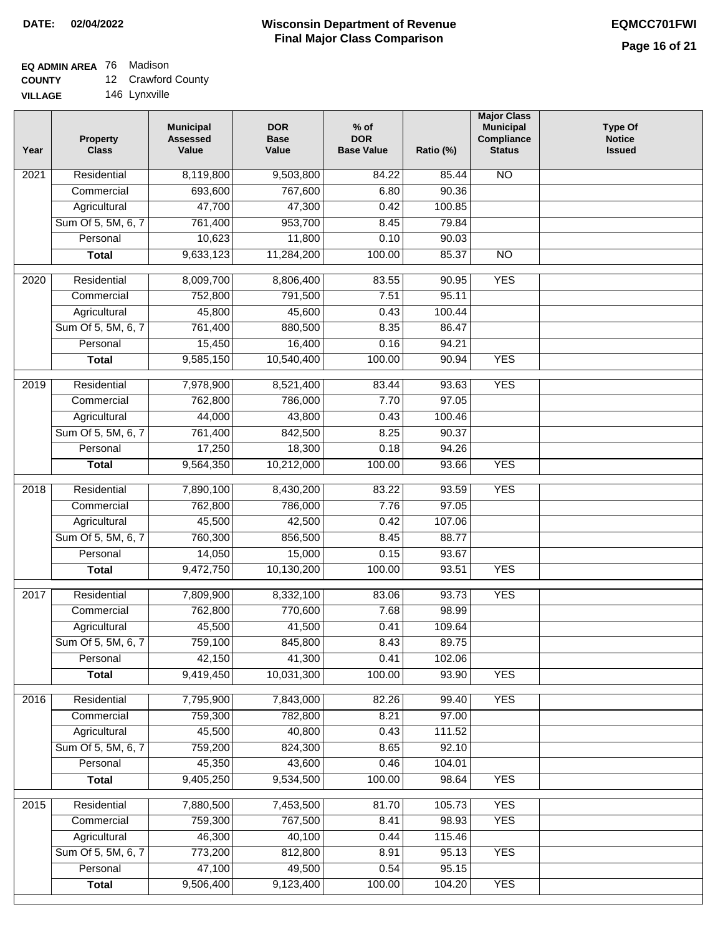# **EQ ADMIN AREA** 76 Madison

**COUNTY** 12 Crawford County

**VILLAGE** 146 Lynxville

| Residential<br>8,119,800<br><b>NO</b><br>$\overline{202}1$<br>9,503,800<br>84.22<br>85.44<br>693,600<br>767,600<br>6.80<br>90.36<br>Commercial<br>47,700<br>Agricultural<br>47,300<br>100.85<br>0.42<br>Sum Of 5, 5M, 6, 7<br>953,700<br>761,400<br>8.45<br>79.84<br>10,623<br>11,800<br>Personal<br>0.10<br>90.03<br>9,633,123<br>11,284,200<br>100.00<br>85.37<br><b>Total</b><br><b>NO</b><br><b>YES</b><br>$\overline{2020}$<br>Residential<br>8,009,700<br>8,806,400<br>83.55<br>90.95<br>752,800<br>95.11<br>Commercial<br>791,500<br>7.51<br>45,800<br>45,600<br>0.43<br>100.44<br>Agricultural<br>Sum Of 5, 5M, 6, 7<br>761,400<br>880,500<br>8.35<br>86.47<br>15,450<br>16,400<br>Personal<br>0.16<br>94.21<br>9,585,150<br><b>YES</b><br>10,540,400<br>100.00<br><b>Total</b><br>90.94<br><b>YES</b><br>2019<br>Residential<br>7,978,900<br>8,521,400<br>83.44<br>93.63<br>762,800<br>786,000<br>7.70<br>97.05<br>Commercial<br>44,000<br>43,800<br>100.46<br>Agricultural<br>0.43<br>Sum Of 5, 5M, 6, 7<br>761,400<br>842,500<br>8.25<br>90.37<br>17,250<br>Personal<br>18,300<br>0.18<br>94.26<br>9,564,350<br>10,212,000<br>100.00<br>93.66<br><b>YES</b><br><b>Total</b><br>Residential<br>7,890,100<br>83.22<br>93.59<br><b>YES</b><br>2018<br>8,430,200<br>762,800<br>7.76<br>97.05<br>Commercial<br>786,000<br>45,500<br>42,500<br>107.06<br>Agricultural<br>0.42<br>760,300<br>Sum Of 5, 5M, 6, 7<br>856,500<br>8.45<br>88.77<br>Personal<br>14,050<br>15,000<br>0.15<br>93.67<br>9,472,750<br>10,130,200<br>100.00<br><b>YES</b><br><b>Total</b><br>93.51<br>2017<br>Residential<br>7,809,900<br>93.73<br><b>YES</b><br>8,332,100<br>83.06<br>Commercial<br>762,800<br>770,600<br>7.68<br>98.99<br>45,500<br>41,500<br>0.41<br>109.64<br>Agricultural<br>759,100<br>89.75<br>Sum Of 5, 5M, 6, 7<br>845,800<br>8.43<br>0.41<br>Personal<br>42,150<br>41,300<br>102.06<br>9,419,450<br>10,031,300<br>100.00<br>93.90<br><b>YES</b><br><b>Total</b><br><b>YES</b><br>Residential<br>7,795,900<br>7,843,000<br>99.40<br>2016<br>82.26<br>759,300<br>782,800<br>8.21<br>97.00<br>Commercial<br>45,500<br>40,800<br>111.52<br>Agricultural<br>0.43<br>Sum Of 5, 5M, 6, 7<br>759,200<br>824,300<br>8.65<br>92.10<br>45,350<br>43,600<br>Personal<br>0.46<br>104.01<br>9,405,250<br>9,534,500<br>100.00<br>98.64<br><b>YES</b><br><b>Total</b><br><b>YES</b><br>Residential<br>7,880,500<br>7,453,500<br>81.70<br>105.73<br>2015<br>759,300<br>767,500<br>8.41<br>98.93<br><b>YES</b><br>Commercial<br>46,300<br>40,100<br>0.44<br>115.46<br>Agricultural<br>Sum Of 5, 5M, 6, 7<br>773,200<br>812,800<br>8.91<br>95.13<br><b>YES</b><br>47,100<br>49,500<br>Personal<br>0.54<br>95.15<br>9,506,400<br>9,123,400<br>100.00<br><b>YES</b><br><b>Total</b><br>104.20 | Year | <b>Property</b><br><b>Class</b> | <b>Municipal</b><br><b>Assessed</b><br>Value | <b>DOR</b><br><b>Base</b><br>Value | $%$ of<br><b>DOR</b><br><b>Base Value</b> | Ratio (%) | <b>Major Class</b><br><b>Municipal</b><br>Compliance<br><b>Status</b> | <b>Type Of</b><br><b>Notice</b><br><b>Issued</b> |
|------------------------------------------------------------------------------------------------------------------------------------------------------------------------------------------------------------------------------------------------------------------------------------------------------------------------------------------------------------------------------------------------------------------------------------------------------------------------------------------------------------------------------------------------------------------------------------------------------------------------------------------------------------------------------------------------------------------------------------------------------------------------------------------------------------------------------------------------------------------------------------------------------------------------------------------------------------------------------------------------------------------------------------------------------------------------------------------------------------------------------------------------------------------------------------------------------------------------------------------------------------------------------------------------------------------------------------------------------------------------------------------------------------------------------------------------------------------------------------------------------------------------------------------------------------------------------------------------------------------------------------------------------------------------------------------------------------------------------------------------------------------------------------------------------------------------------------------------------------------------------------------------------------------------------------------------------------------------------------------------------------------------------------------------------------------------------------------------------------------------------------------------------------------------------------------------------------------------------------------------------------------------------------------------------------------------------------------------------------------------------------------------------------------------------------------------------------------------------------------------------------------------------------------------------------------------------------------------------------------------------------------------------------------------------------------------------------------------------------------------------------------------------|------|---------------------------------|----------------------------------------------|------------------------------------|-------------------------------------------|-----------|-----------------------------------------------------------------------|--------------------------------------------------|
|                                                                                                                                                                                                                                                                                                                                                                                                                                                                                                                                                                                                                                                                                                                                                                                                                                                                                                                                                                                                                                                                                                                                                                                                                                                                                                                                                                                                                                                                                                                                                                                                                                                                                                                                                                                                                                                                                                                                                                                                                                                                                                                                                                                                                                                                                                                                                                                                                                                                                                                                                                                                                                                                                                                                                                              |      |                                 |                                              |                                    |                                           |           |                                                                       |                                                  |
|                                                                                                                                                                                                                                                                                                                                                                                                                                                                                                                                                                                                                                                                                                                                                                                                                                                                                                                                                                                                                                                                                                                                                                                                                                                                                                                                                                                                                                                                                                                                                                                                                                                                                                                                                                                                                                                                                                                                                                                                                                                                                                                                                                                                                                                                                                                                                                                                                                                                                                                                                                                                                                                                                                                                                                              |      |                                 |                                              |                                    |                                           |           |                                                                       |                                                  |
|                                                                                                                                                                                                                                                                                                                                                                                                                                                                                                                                                                                                                                                                                                                                                                                                                                                                                                                                                                                                                                                                                                                                                                                                                                                                                                                                                                                                                                                                                                                                                                                                                                                                                                                                                                                                                                                                                                                                                                                                                                                                                                                                                                                                                                                                                                                                                                                                                                                                                                                                                                                                                                                                                                                                                                              |      |                                 |                                              |                                    |                                           |           |                                                                       |                                                  |
|                                                                                                                                                                                                                                                                                                                                                                                                                                                                                                                                                                                                                                                                                                                                                                                                                                                                                                                                                                                                                                                                                                                                                                                                                                                                                                                                                                                                                                                                                                                                                                                                                                                                                                                                                                                                                                                                                                                                                                                                                                                                                                                                                                                                                                                                                                                                                                                                                                                                                                                                                                                                                                                                                                                                                                              |      |                                 |                                              |                                    |                                           |           |                                                                       |                                                  |
|                                                                                                                                                                                                                                                                                                                                                                                                                                                                                                                                                                                                                                                                                                                                                                                                                                                                                                                                                                                                                                                                                                                                                                                                                                                                                                                                                                                                                                                                                                                                                                                                                                                                                                                                                                                                                                                                                                                                                                                                                                                                                                                                                                                                                                                                                                                                                                                                                                                                                                                                                                                                                                                                                                                                                                              |      |                                 |                                              |                                    |                                           |           |                                                                       |                                                  |
|                                                                                                                                                                                                                                                                                                                                                                                                                                                                                                                                                                                                                                                                                                                                                                                                                                                                                                                                                                                                                                                                                                                                                                                                                                                                                                                                                                                                                                                                                                                                                                                                                                                                                                                                                                                                                                                                                                                                                                                                                                                                                                                                                                                                                                                                                                                                                                                                                                                                                                                                                                                                                                                                                                                                                                              |      |                                 |                                              |                                    |                                           |           |                                                                       |                                                  |
|                                                                                                                                                                                                                                                                                                                                                                                                                                                                                                                                                                                                                                                                                                                                                                                                                                                                                                                                                                                                                                                                                                                                                                                                                                                                                                                                                                                                                                                                                                                                                                                                                                                                                                                                                                                                                                                                                                                                                                                                                                                                                                                                                                                                                                                                                                                                                                                                                                                                                                                                                                                                                                                                                                                                                                              |      |                                 |                                              |                                    |                                           |           |                                                                       |                                                  |
|                                                                                                                                                                                                                                                                                                                                                                                                                                                                                                                                                                                                                                                                                                                                                                                                                                                                                                                                                                                                                                                                                                                                                                                                                                                                                                                                                                                                                                                                                                                                                                                                                                                                                                                                                                                                                                                                                                                                                                                                                                                                                                                                                                                                                                                                                                                                                                                                                                                                                                                                                                                                                                                                                                                                                                              |      |                                 |                                              |                                    |                                           |           |                                                                       |                                                  |
|                                                                                                                                                                                                                                                                                                                                                                                                                                                                                                                                                                                                                                                                                                                                                                                                                                                                                                                                                                                                                                                                                                                                                                                                                                                                                                                                                                                                                                                                                                                                                                                                                                                                                                                                                                                                                                                                                                                                                                                                                                                                                                                                                                                                                                                                                                                                                                                                                                                                                                                                                                                                                                                                                                                                                                              |      |                                 |                                              |                                    |                                           |           |                                                                       |                                                  |
|                                                                                                                                                                                                                                                                                                                                                                                                                                                                                                                                                                                                                                                                                                                                                                                                                                                                                                                                                                                                                                                                                                                                                                                                                                                                                                                                                                                                                                                                                                                                                                                                                                                                                                                                                                                                                                                                                                                                                                                                                                                                                                                                                                                                                                                                                                                                                                                                                                                                                                                                                                                                                                                                                                                                                                              |      |                                 |                                              |                                    |                                           |           |                                                                       |                                                  |
|                                                                                                                                                                                                                                                                                                                                                                                                                                                                                                                                                                                                                                                                                                                                                                                                                                                                                                                                                                                                                                                                                                                                                                                                                                                                                                                                                                                                                                                                                                                                                                                                                                                                                                                                                                                                                                                                                                                                                                                                                                                                                                                                                                                                                                                                                                                                                                                                                                                                                                                                                                                                                                                                                                                                                                              |      |                                 |                                              |                                    |                                           |           |                                                                       |                                                  |
|                                                                                                                                                                                                                                                                                                                                                                                                                                                                                                                                                                                                                                                                                                                                                                                                                                                                                                                                                                                                                                                                                                                                                                                                                                                                                                                                                                                                                                                                                                                                                                                                                                                                                                                                                                                                                                                                                                                                                                                                                                                                                                                                                                                                                                                                                                                                                                                                                                                                                                                                                                                                                                                                                                                                                                              |      |                                 |                                              |                                    |                                           |           |                                                                       |                                                  |
|                                                                                                                                                                                                                                                                                                                                                                                                                                                                                                                                                                                                                                                                                                                                                                                                                                                                                                                                                                                                                                                                                                                                                                                                                                                                                                                                                                                                                                                                                                                                                                                                                                                                                                                                                                                                                                                                                                                                                                                                                                                                                                                                                                                                                                                                                                                                                                                                                                                                                                                                                                                                                                                                                                                                                                              |      |                                 |                                              |                                    |                                           |           |                                                                       |                                                  |
|                                                                                                                                                                                                                                                                                                                                                                                                                                                                                                                                                                                                                                                                                                                                                                                                                                                                                                                                                                                                                                                                                                                                                                                                                                                                                                                                                                                                                                                                                                                                                                                                                                                                                                                                                                                                                                                                                                                                                                                                                                                                                                                                                                                                                                                                                                                                                                                                                                                                                                                                                                                                                                                                                                                                                                              |      |                                 |                                              |                                    |                                           |           |                                                                       |                                                  |
|                                                                                                                                                                                                                                                                                                                                                                                                                                                                                                                                                                                                                                                                                                                                                                                                                                                                                                                                                                                                                                                                                                                                                                                                                                                                                                                                                                                                                                                                                                                                                                                                                                                                                                                                                                                                                                                                                                                                                                                                                                                                                                                                                                                                                                                                                                                                                                                                                                                                                                                                                                                                                                                                                                                                                                              |      |                                 |                                              |                                    |                                           |           |                                                                       |                                                  |
|                                                                                                                                                                                                                                                                                                                                                                                                                                                                                                                                                                                                                                                                                                                                                                                                                                                                                                                                                                                                                                                                                                                                                                                                                                                                                                                                                                                                                                                                                                                                                                                                                                                                                                                                                                                                                                                                                                                                                                                                                                                                                                                                                                                                                                                                                                                                                                                                                                                                                                                                                                                                                                                                                                                                                                              |      |                                 |                                              |                                    |                                           |           |                                                                       |                                                  |
|                                                                                                                                                                                                                                                                                                                                                                                                                                                                                                                                                                                                                                                                                                                                                                                                                                                                                                                                                                                                                                                                                                                                                                                                                                                                                                                                                                                                                                                                                                                                                                                                                                                                                                                                                                                                                                                                                                                                                                                                                                                                                                                                                                                                                                                                                                                                                                                                                                                                                                                                                                                                                                                                                                                                                                              |      |                                 |                                              |                                    |                                           |           |                                                                       |                                                  |
|                                                                                                                                                                                                                                                                                                                                                                                                                                                                                                                                                                                                                                                                                                                                                                                                                                                                                                                                                                                                                                                                                                                                                                                                                                                                                                                                                                                                                                                                                                                                                                                                                                                                                                                                                                                                                                                                                                                                                                                                                                                                                                                                                                                                                                                                                                                                                                                                                                                                                                                                                                                                                                                                                                                                                                              |      |                                 |                                              |                                    |                                           |           |                                                                       |                                                  |
|                                                                                                                                                                                                                                                                                                                                                                                                                                                                                                                                                                                                                                                                                                                                                                                                                                                                                                                                                                                                                                                                                                                                                                                                                                                                                                                                                                                                                                                                                                                                                                                                                                                                                                                                                                                                                                                                                                                                                                                                                                                                                                                                                                                                                                                                                                                                                                                                                                                                                                                                                                                                                                                                                                                                                                              |      |                                 |                                              |                                    |                                           |           |                                                                       |                                                  |
|                                                                                                                                                                                                                                                                                                                                                                                                                                                                                                                                                                                                                                                                                                                                                                                                                                                                                                                                                                                                                                                                                                                                                                                                                                                                                                                                                                                                                                                                                                                                                                                                                                                                                                                                                                                                                                                                                                                                                                                                                                                                                                                                                                                                                                                                                                                                                                                                                                                                                                                                                                                                                                                                                                                                                                              |      |                                 |                                              |                                    |                                           |           |                                                                       |                                                  |
|                                                                                                                                                                                                                                                                                                                                                                                                                                                                                                                                                                                                                                                                                                                                                                                                                                                                                                                                                                                                                                                                                                                                                                                                                                                                                                                                                                                                                                                                                                                                                                                                                                                                                                                                                                                                                                                                                                                                                                                                                                                                                                                                                                                                                                                                                                                                                                                                                                                                                                                                                                                                                                                                                                                                                                              |      |                                 |                                              |                                    |                                           |           |                                                                       |                                                  |
|                                                                                                                                                                                                                                                                                                                                                                                                                                                                                                                                                                                                                                                                                                                                                                                                                                                                                                                                                                                                                                                                                                                                                                                                                                                                                                                                                                                                                                                                                                                                                                                                                                                                                                                                                                                                                                                                                                                                                                                                                                                                                                                                                                                                                                                                                                                                                                                                                                                                                                                                                                                                                                                                                                                                                                              |      |                                 |                                              |                                    |                                           |           |                                                                       |                                                  |
|                                                                                                                                                                                                                                                                                                                                                                                                                                                                                                                                                                                                                                                                                                                                                                                                                                                                                                                                                                                                                                                                                                                                                                                                                                                                                                                                                                                                                                                                                                                                                                                                                                                                                                                                                                                                                                                                                                                                                                                                                                                                                                                                                                                                                                                                                                                                                                                                                                                                                                                                                                                                                                                                                                                                                                              |      |                                 |                                              |                                    |                                           |           |                                                                       |                                                  |
|                                                                                                                                                                                                                                                                                                                                                                                                                                                                                                                                                                                                                                                                                                                                                                                                                                                                                                                                                                                                                                                                                                                                                                                                                                                                                                                                                                                                                                                                                                                                                                                                                                                                                                                                                                                                                                                                                                                                                                                                                                                                                                                                                                                                                                                                                                                                                                                                                                                                                                                                                                                                                                                                                                                                                                              |      |                                 |                                              |                                    |                                           |           |                                                                       |                                                  |
|                                                                                                                                                                                                                                                                                                                                                                                                                                                                                                                                                                                                                                                                                                                                                                                                                                                                                                                                                                                                                                                                                                                                                                                                                                                                                                                                                                                                                                                                                                                                                                                                                                                                                                                                                                                                                                                                                                                                                                                                                                                                                                                                                                                                                                                                                                                                                                                                                                                                                                                                                                                                                                                                                                                                                                              |      |                                 |                                              |                                    |                                           |           |                                                                       |                                                  |
|                                                                                                                                                                                                                                                                                                                                                                                                                                                                                                                                                                                                                                                                                                                                                                                                                                                                                                                                                                                                                                                                                                                                                                                                                                                                                                                                                                                                                                                                                                                                                                                                                                                                                                                                                                                                                                                                                                                                                                                                                                                                                                                                                                                                                                                                                                                                                                                                                                                                                                                                                                                                                                                                                                                                                                              |      |                                 |                                              |                                    |                                           |           |                                                                       |                                                  |
|                                                                                                                                                                                                                                                                                                                                                                                                                                                                                                                                                                                                                                                                                                                                                                                                                                                                                                                                                                                                                                                                                                                                                                                                                                                                                                                                                                                                                                                                                                                                                                                                                                                                                                                                                                                                                                                                                                                                                                                                                                                                                                                                                                                                                                                                                                                                                                                                                                                                                                                                                                                                                                                                                                                                                                              |      |                                 |                                              |                                    |                                           |           |                                                                       |                                                  |
|                                                                                                                                                                                                                                                                                                                                                                                                                                                                                                                                                                                                                                                                                                                                                                                                                                                                                                                                                                                                                                                                                                                                                                                                                                                                                                                                                                                                                                                                                                                                                                                                                                                                                                                                                                                                                                                                                                                                                                                                                                                                                                                                                                                                                                                                                                                                                                                                                                                                                                                                                                                                                                                                                                                                                                              |      |                                 |                                              |                                    |                                           |           |                                                                       |                                                  |
|                                                                                                                                                                                                                                                                                                                                                                                                                                                                                                                                                                                                                                                                                                                                                                                                                                                                                                                                                                                                                                                                                                                                                                                                                                                                                                                                                                                                                                                                                                                                                                                                                                                                                                                                                                                                                                                                                                                                                                                                                                                                                                                                                                                                                                                                                                                                                                                                                                                                                                                                                                                                                                                                                                                                                                              |      |                                 |                                              |                                    |                                           |           |                                                                       |                                                  |
|                                                                                                                                                                                                                                                                                                                                                                                                                                                                                                                                                                                                                                                                                                                                                                                                                                                                                                                                                                                                                                                                                                                                                                                                                                                                                                                                                                                                                                                                                                                                                                                                                                                                                                                                                                                                                                                                                                                                                                                                                                                                                                                                                                                                                                                                                                                                                                                                                                                                                                                                                                                                                                                                                                                                                                              |      |                                 |                                              |                                    |                                           |           |                                                                       |                                                  |
|                                                                                                                                                                                                                                                                                                                                                                                                                                                                                                                                                                                                                                                                                                                                                                                                                                                                                                                                                                                                                                                                                                                                                                                                                                                                                                                                                                                                                                                                                                                                                                                                                                                                                                                                                                                                                                                                                                                                                                                                                                                                                                                                                                                                                                                                                                                                                                                                                                                                                                                                                                                                                                                                                                                                                                              |      |                                 |                                              |                                    |                                           |           |                                                                       |                                                  |
|                                                                                                                                                                                                                                                                                                                                                                                                                                                                                                                                                                                                                                                                                                                                                                                                                                                                                                                                                                                                                                                                                                                                                                                                                                                                                                                                                                                                                                                                                                                                                                                                                                                                                                                                                                                                                                                                                                                                                                                                                                                                                                                                                                                                                                                                                                                                                                                                                                                                                                                                                                                                                                                                                                                                                                              |      |                                 |                                              |                                    |                                           |           |                                                                       |                                                  |
|                                                                                                                                                                                                                                                                                                                                                                                                                                                                                                                                                                                                                                                                                                                                                                                                                                                                                                                                                                                                                                                                                                                                                                                                                                                                                                                                                                                                                                                                                                                                                                                                                                                                                                                                                                                                                                                                                                                                                                                                                                                                                                                                                                                                                                                                                                                                                                                                                                                                                                                                                                                                                                                                                                                                                                              |      |                                 |                                              |                                    |                                           |           |                                                                       |                                                  |
|                                                                                                                                                                                                                                                                                                                                                                                                                                                                                                                                                                                                                                                                                                                                                                                                                                                                                                                                                                                                                                                                                                                                                                                                                                                                                                                                                                                                                                                                                                                                                                                                                                                                                                                                                                                                                                                                                                                                                                                                                                                                                                                                                                                                                                                                                                                                                                                                                                                                                                                                                                                                                                                                                                                                                                              |      |                                 |                                              |                                    |                                           |           |                                                                       |                                                  |
|                                                                                                                                                                                                                                                                                                                                                                                                                                                                                                                                                                                                                                                                                                                                                                                                                                                                                                                                                                                                                                                                                                                                                                                                                                                                                                                                                                                                                                                                                                                                                                                                                                                                                                                                                                                                                                                                                                                                                                                                                                                                                                                                                                                                                                                                                                                                                                                                                                                                                                                                                                                                                                                                                                                                                                              |      |                                 |                                              |                                    |                                           |           |                                                                       |                                                  |
|                                                                                                                                                                                                                                                                                                                                                                                                                                                                                                                                                                                                                                                                                                                                                                                                                                                                                                                                                                                                                                                                                                                                                                                                                                                                                                                                                                                                                                                                                                                                                                                                                                                                                                                                                                                                                                                                                                                                                                                                                                                                                                                                                                                                                                                                                                                                                                                                                                                                                                                                                                                                                                                                                                                                                                              |      |                                 |                                              |                                    |                                           |           |                                                                       |                                                  |
|                                                                                                                                                                                                                                                                                                                                                                                                                                                                                                                                                                                                                                                                                                                                                                                                                                                                                                                                                                                                                                                                                                                                                                                                                                                                                                                                                                                                                                                                                                                                                                                                                                                                                                                                                                                                                                                                                                                                                                                                                                                                                                                                                                                                                                                                                                                                                                                                                                                                                                                                                                                                                                                                                                                                                                              |      |                                 |                                              |                                    |                                           |           |                                                                       |                                                  |
|                                                                                                                                                                                                                                                                                                                                                                                                                                                                                                                                                                                                                                                                                                                                                                                                                                                                                                                                                                                                                                                                                                                                                                                                                                                                                                                                                                                                                                                                                                                                                                                                                                                                                                                                                                                                                                                                                                                                                                                                                                                                                                                                                                                                                                                                                                                                                                                                                                                                                                                                                                                                                                                                                                                                                                              |      |                                 |                                              |                                    |                                           |           |                                                                       |                                                  |
|                                                                                                                                                                                                                                                                                                                                                                                                                                                                                                                                                                                                                                                                                                                                                                                                                                                                                                                                                                                                                                                                                                                                                                                                                                                                                                                                                                                                                                                                                                                                                                                                                                                                                                                                                                                                                                                                                                                                                                                                                                                                                                                                                                                                                                                                                                                                                                                                                                                                                                                                                                                                                                                                                                                                                                              |      |                                 |                                              |                                    |                                           |           |                                                                       |                                                  |
|                                                                                                                                                                                                                                                                                                                                                                                                                                                                                                                                                                                                                                                                                                                                                                                                                                                                                                                                                                                                                                                                                                                                                                                                                                                                                                                                                                                                                                                                                                                                                                                                                                                                                                                                                                                                                                                                                                                                                                                                                                                                                                                                                                                                                                                                                                                                                                                                                                                                                                                                                                                                                                                                                                                                                                              |      |                                 |                                              |                                    |                                           |           |                                                                       |                                                  |
|                                                                                                                                                                                                                                                                                                                                                                                                                                                                                                                                                                                                                                                                                                                                                                                                                                                                                                                                                                                                                                                                                                                                                                                                                                                                                                                                                                                                                                                                                                                                                                                                                                                                                                                                                                                                                                                                                                                                                                                                                                                                                                                                                                                                                                                                                                                                                                                                                                                                                                                                                                                                                                                                                                                                                                              |      |                                 |                                              |                                    |                                           |           |                                                                       |                                                  |
|                                                                                                                                                                                                                                                                                                                                                                                                                                                                                                                                                                                                                                                                                                                                                                                                                                                                                                                                                                                                                                                                                                                                                                                                                                                                                                                                                                                                                                                                                                                                                                                                                                                                                                                                                                                                                                                                                                                                                                                                                                                                                                                                                                                                                                                                                                                                                                                                                                                                                                                                                                                                                                                                                                                                                                              |      |                                 |                                              |                                    |                                           |           |                                                                       |                                                  |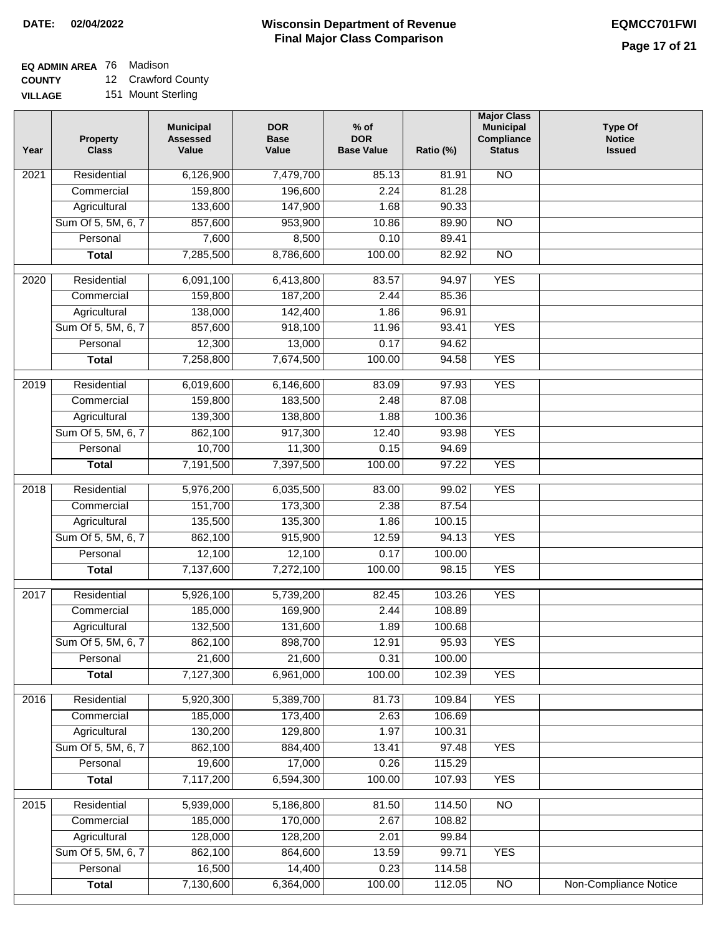$\Box$ 

### **Wisconsin Department of Revenue Final Major Class Comparison DATE: 02/04/2022 EQMCC701FWI**

## **EQ ADMIN AREA** 76 Madison

**COUNTY VILLAGE** 12 Crawford County

151 Mount Sterling

| Year | <b>Property</b><br><b>Class</b> | <b>Municipal</b><br><b>Assessed</b><br>Value | <b>DOR</b><br><b>Base</b><br>Value | $%$ of<br><b>DOR</b><br><b>Base Value</b> | Ratio (%) | <b>Major Class</b><br><b>Municipal</b><br>Compliance<br><b>Status</b> | <b>Type Of</b><br><b>Notice</b><br><b>Issued</b> |
|------|---------------------------------|----------------------------------------------|------------------------------------|-------------------------------------------|-----------|-----------------------------------------------------------------------|--------------------------------------------------|
| 2021 | Residential                     | 6,126,900                                    | 7,479,700                          | 85.13                                     | 81.91     | <b>NO</b>                                                             |                                                  |
|      | Commercial                      | 159,800                                      | 196,600                            | 2.24                                      | 81.28     |                                                                       |                                                  |
|      | Agricultural                    | 133,600                                      | 147,900                            | 1.68                                      | 90.33     |                                                                       |                                                  |
|      | Sum Of 5, 5M, 6, 7              | 857,600                                      | 953,900                            | 10.86                                     | 89.90     | $\overline{NO}$                                                       |                                                  |
|      | Personal                        | 7,600                                        | 8,500                              | 0.10                                      | 89.41     |                                                                       |                                                  |
|      | <b>Total</b>                    | 7,285,500                                    | 8,786,600                          | 100.00                                    | 82.92     | $\overline{NO}$                                                       |                                                  |
| 2020 | Residential                     | 6,091,100                                    | 6,413,800                          | 83.57                                     | 94.97     | <b>YES</b>                                                            |                                                  |
|      | Commercial                      | 159,800                                      | 187,200                            | 2.44                                      | 85.36     |                                                                       |                                                  |
|      | Agricultural                    | 138,000                                      | 142,400                            | 1.86                                      | 96.91     |                                                                       |                                                  |
|      | Sum Of 5, 5M, 6, 7              | 857,600                                      | 918,100                            | 11.96                                     | 93.41     | <b>YES</b>                                                            |                                                  |
|      | Personal                        | 12,300                                       | 13,000                             | 0.17                                      | 94.62     |                                                                       |                                                  |
|      | <b>Total</b>                    | 7,258,800                                    | 7,674,500                          | 100.00                                    | 94.58     | <b>YES</b>                                                            |                                                  |
|      |                                 |                                              |                                    |                                           |           |                                                                       |                                                  |
| 2019 | Residential                     | 6,019,600                                    | 6,146,600                          | 83.09                                     | 97.93     | <b>YES</b>                                                            |                                                  |
|      | Commercial                      | 159,800                                      | 183,500                            | 2.48                                      | 87.08     |                                                                       |                                                  |
|      | Agricultural                    | 139,300                                      | 138,800                            | 1.88                                      | 100.36    |                                                                       |                                                  |
|      | Sum Of 5, 5M, 6, 7              | 862,100                                      | 917,300                            | 12.40                                     | 93.98     | <b>YES</b>                                                            |                                                  |
|      | Personal                        | 10,700                                       | 11,300                             | 0.15                                      | 94.69     |                                                                       |                                                  |
|      | <b>Total</b>                    | 7,191,500                                    | 7,397,500                          | 100.00                                    | 97.22     | <b>YES</b>                                                            |                                                  |
| 2018 | Residential                     | 5,976,200                                    | 6,035,500                          | 83.00                                     | 99.02     | <b>YES</b>                                                            |                                                  |
|      | Commercial                      | 151,700                                      | 173,300                            | 2.38                                      | 87.54     |                                                                       |                                                  |
|      | Agricultural                    | 135,500                                      | 135,300                            | 1.86                                      | 100.15    |                                                                       |                                                  |
|      | Sum Of 5, 5M, 6, 7              | 862,100                                      | 915,900                            | 12.59                                     | 94.13     | <b>YES</b>                                                            |                                                  |
|      | Personal                        | 12,100                                       | 12,100                             | 0.17                                      | 100.00    |                                                                       |                                                  |
|      | <b>Total</b>                    | 7,137,600                                    | 7,272,100                          | 100.00                                    | 98.15     | <b>YES</b>                                                            |                                                  |
| 2017 | Residential                     | 5,926,100                                    | 5,739,200                          | 82.45                                     | 103.26    | <b>YES</b>                                                            |                                                  |
|      | Commercial                      | 185,000                                      | 169,900                            | 2.44                                      | 108.89    |                                                                       |                                                  |
|      | Agricultural                    | 132,500                                      | 131,600                            | 1.89                                      | 100.68    |                                                                       |                                                  |
|      | Sum Of 5, 5M, 6, 7              | 862,100                                      | 898,700                            | 12.91                                     | 95.93     | <b>YES</b>                                                            |                                                  |
|      | Personal                        | 21,600                                       | 21,600                             | 0.31                                      | 100.00    |                                                                       |                                                  |
|      | <b>Total</b>                    | 7,127,300                                    | 6,961,000                          | 100.00                                    | 102.39    | <b>YES</b>                                                            |                                                  |
| 2016 | Residential                     | 5,920,300                                    | 5,389,700                          | 81.73                                     | 109.84    | <b>YES</b>                                                            |                                                  |
|      | Commercial                      | 185,000                                      | 173,400                            | 2.63                                      | 106.69    |                                                                       |                                                  |
|      | Agricultural                    | 130,200                                      | 129,800                            | 1.97                                      | 100.31    |                                                                       |                                                  |
|      | Sum Of 5, 5M, 6, 7              | 862,100                                      | 884,400                            | 13.41                                     | 97.48     | <b>YES</b>                                                            |                                                  |
|      | Personal                        | 19,600                                       | 17,000                             | 0.26                                      | 115.29    |                                                                       |                                                  |
|      | <b>Total</b>                    | 7,117,200                                    | 6,594,300                          | 100.00                                    | 107.93    | <b>YES</b>                                                            |                                                  |
| 2015 | Residential                     | 5,939,000                                    | 5,186,800                          | 81.50                                     | 114.50    | $\overline{NO}$                                                       |                                                  |
|      | Commercial                      | 185,000                                      | 170,000                            | 2.67                                      | 108.82    |                                                                       |                                                  |
|      | Agricultural                    | 128,000                                      | 128,200                            | 2.01                                      | 99.84     |                                                                       |                                                  |
|      | Sum Of 5, 5M, 6, 7              | 862,100                                      | 864,600                            | 13.59                                     | 99.71     | <b>YES</b>                                                            |                                                  |
|      | Personal                        | 16,500                                       | 14,400                             | 0.23                                      | 114.58    |                                                                       |                                                  |
|      | <b>Total</b>                    | 7,130,600                                    | 6,364,000                          | 100.00                                    | 112.05    | $\overline{NO}$                                                       | <b>Non-Compliance Notice</b>                     |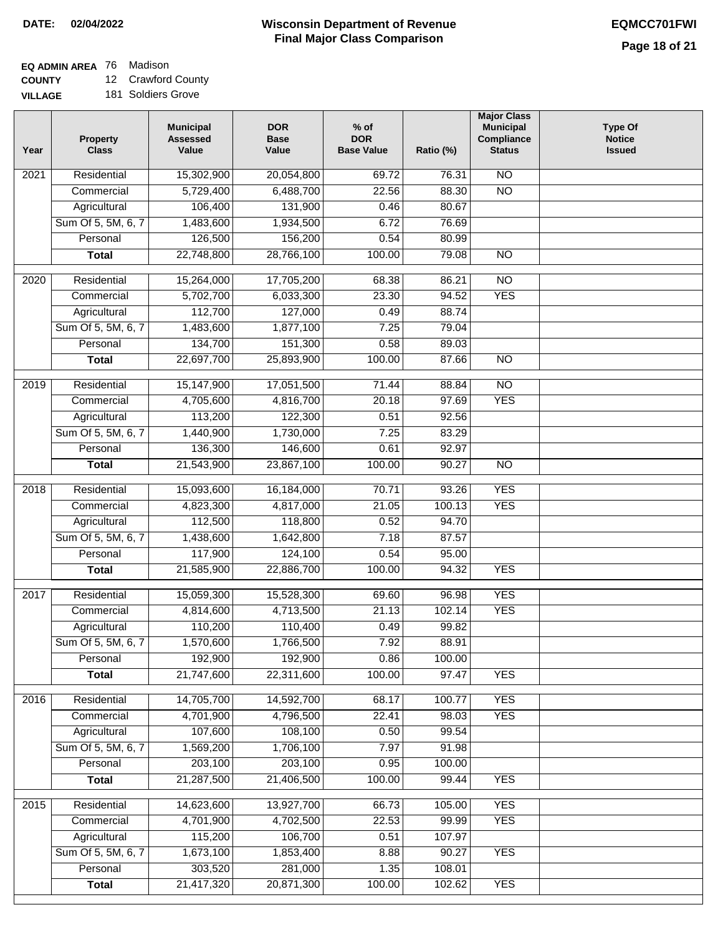### **Wisconsin Department of Revenue Final Major Class Comparison DATE: 02/04/2022 EQMCC701FWI**

٦

# **EQ ADMIN AREA** 76 Madison

**COUNTY VILLAGE** 12 Crawford County

| <b>\GE</b> | 181 Soldiers Grove |  |
|------------|--------------------|--|
|            |                    |  |

| 15,302,900<br>20,054,800<br>$\overline{NO}$<br>Residential<br>69.72<br>76.31<br>2021<br>5,729,400<br>6,488,700<br>22.56<br>88.30<br>$\overline{NO}$<br>Commercial<br>Agricultural<br>106,400<br>131,900<br>0.46<br>80.67 |  |
|--------------------------------------------------------------------------------------------------------------------------------------------------------------------------------------------------------------------------|--|
|                                                                                                                                                                                                                          |  |
|                                                                                                                                                                                                                          |  |
|                                                                                                                                                                                                                          |  |
| Sum Of 5, 5M, 6, 7<br>1,483,600<br>1,934,500<br>6.72<br>76.69                                                                                                                                                            |  |
| 126,500<br>156,200<br>0.54<br>80.99<br>Personal                                                                                                                                                                          |  |
| 22,748,800<br>28,766,100<br>100.00<br>79.08<br>$\overline{NO}$<br><b>Total</b>                                                                                                                                           |  |
| $\overline{NO}$<br>2020<br>Residential<br>15,264,000<br>17,705,200<br>68.38<br>86.21                                                                                                                                     |  |
| <b>YES</b><br>5,702,700<br>6,033,300<br>23.30<br>94.52<br>Commercial                                                                                                                                                     |  |
| 112,700<br>127,000<br>0.49<br>88.74<br>Agricultural                                                                                                                                                                      |  |
| Sum Of 5, 5M, 6, 7<br>1,483,600<br>1,877,100<br>7.25<br>79.04                                                                                                                                                            |  |
| 134,700<br>151,300<br>Personal<br>0.58<br>89.03                                                                                                                                                                          |  |
| 22,697,700<br>100.00<br>$\overline{NO}$<br><b>Total</b><br>25,893,900<br>87.66                                                                                                                                           |  |
|                                                                                                                                                                                                                          |  |
| 17,051,500<br>2019<br>Residential<br>15,147,900<br>71.44<br>88.84<br>NO                                                                                                                                                  |  |
| <b>YES</b><br>4,705,600<br>4,816,700<br>20.18<br>97.69<br>Commercial                                                                                                                                                     |  |
| 113,200<br>122,300<br>0.51<br>Agricultural<br>92.56                                                                                                                                                                      |  |
| Sum Of 5, 5M, 6, 7<br>1,440,900<br>1,730,000<br>7.25<br>83.29                                                                                                                                                            |  |
| 136,300<br>Personal<br>146,600<br>0.61<br>92.97                                                                                                                                                                          |  |
| 21,543,900<br>23,867,100<br>100.00<br>90.27<br>$\overline{NO}$<br><b>Total</b>                                                                                                                                           |  |
| <b>YES</b><br>Residential<br>15,093,600<br>70.71<br>93.26<br>2018<br>16,184,000                                                                                                                                          |  |
| <b>YES</b><br>Commercial<br>4,823,300<br>4,817,000<br>21.05<br>100.13                                                                                                                                                    |  |
| 112,500<br>118,800<br>0.52<br>Agricultural<br>94.70                                                                                                                                                                      |  |
| Sum Of 5, 5M, 6, 7<br>1,438,600<br>1,642,800<br>7.18<br>87.57                                                                                                                                                            |  |
| 117,900<br>124,100<br>0.54<br>Personal<br>95.00                                                                                                                                                                          |  |
| 21,585,900<br>100.00<br><b>YES</b><br>22,886,700<br>94.32<br><b>Total</b>                                                                                                                                                |  |
| 15,059,300<br>96.98<br><b>YES</b><br>2017<br>Residential<br>15,528,300<br>69.60                                                                                                                                          |  |
| <b>YES</b><br>Commercial<br>4,814,600<br>4,713,500<br>21.13<br>102.14                                                                                                                                                    |  |
| 110,200<br>110,400<br>Agricultural<br>0.49<br>99.82                                                                                                                                                                      |  |
| Sum Of 5, 5M, 6, 7<br>1,570,600<br>1,766,500<br>7.92<br>88.91                                                                                                                                                            |  |
| 192,900<br>Personal<br>192,900<br>0.86<br>100.00                                                                                                                                                                         |  |
| 21,747,600<br>22,311,600<br>100.00<br>97.47<br><b>YES</b><br><b>Total</b>                                                                                                                                                |  |
|                                                                                                                                                                                                                          |  |
| 14,705,700<br><b>YES</b><br>Residential<br>14,592,700<br>100.77<br>2016<br>68.17                                                                                                                                         |  |
| 4,701,900<br>4,796,500<br>22.41<br>98.03<br><b>YES</b><br>Commercial                                                                                                                                                     |  |
| 107,600<br>108,100<br>99.54<br>Agricultural<br>0.50                                                                                                                                                                      |  |
| Sum Of 5, 5M, 6, 7<br>1,569,200<br>1,706,100<br>7.97<br>91.98                                                                                                                                                            |  |
| 203,100<br>203,100<br>Personal<br>0.95<br>100.00                                                                                                                                                                         |  |
| 21,287,500<br>21,406,500<br>100.00<br>99.44<br><b>Total</b><br><b>YES</b>                                                                                                                                                |  |
| <b>YES</b><br>2015<br>Residential<br>14,623,600<br>13,927,700<br>66.73<br>105.00                                                                                                                                         |  |
| 4,701,900<br>4,702,500<br>22.53<br>99.99<br><b>YES</b><br>Commercial                                                                                                                                                     |  |
| 115,200<br>106,700<br>0.51<br>107.97<br>Agricultural                                                                                                                                                                     |  |
| Sum Of 5, 5M, 6, 7<br>1,673,100<br>1,853,400<br>8.88<br><b>YES</b><br>90.27                                                                                                                                              |  |
| 303,520<br>281,000<br>Personal<br>1.35<br>108.01                                                                                                                                                                         |  |
| 21,417,320<br>20,871,300<br><b>YES</b><br>100.00<br>102.62<br><b>Total</b>                                                                                                                                               |  |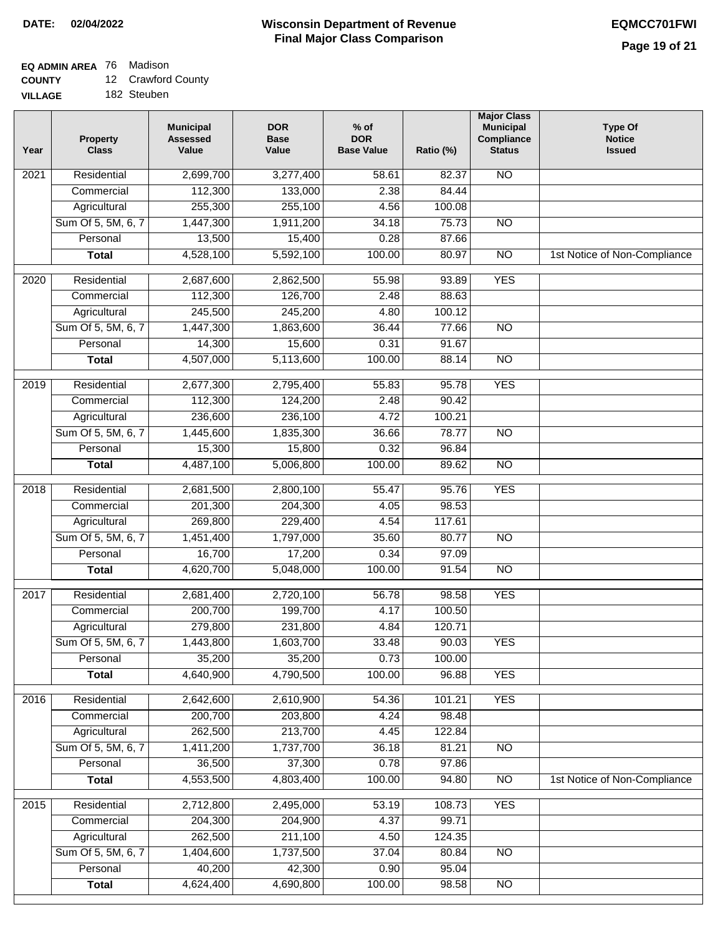### **Wisconsin Department of Revenue Final Major Class Comparison DATE: 02/04/2022 EQMCC701FWI**

## **EQ ADMIN AREA** 76 Madison

**COUNTY** 12 Crawford County

**VILLAGE** 182 Steuben

| Year              | <b>Property</b><br><b>Class</b> | <b>Municipal</b><br><b>Assessed</b><br>Value | <b>DOR</b><br><b>Base</b><br>Value | $%$ of<br><b>DOR</b><br><b>Base Value</b> | Ratio (%) | <b>Major Class</b><br><b>Municipal</b><br>Compliance<br><b>Status</b> | <b>Type Of</b><br><b>Notice</b><br><b>Issued</b> |
|-------------------|---------------------------------|----------------------------------------------|------------------------------------|-------------------------------------------|-----------|-----------------------------------------------------------------------|--------------------------------------------------|
| 2021              | Residential                     | 2,699,700                                    | 3,277,400                          | 58.61                                     | 82.37     | <b>NO</b>                                                             |                                                  |
|                   | Commercial                      | 112,300                                      | 133,000                            | 2.38                                      | 84.44     |                                                                       |                                                  |
|                   | Agricultural                    | 255,300                                      | 255,100                            | 4.56                                      | 100.08    |                                                                       |                                                  |
|                   | Sum Of 5, 5M, 6, 7              | 1,447,300                                    | 1,911,200                          | 34.18                                     | 75.73     | $\overline{NO}$                                                       |                                                  |
|                   | Personal                        | 13,500                                       | 15,400                             | 0.28                                      | 87.66     |                                                                       |                                                  |
|                   | <b>Total</b>                    | 4,528,100                                    | 5,592,100                          | 100.00                                    | 80.97     | $\overline{NO}$                                                       | 1st Notice of Non-Compliance                     |
| $\overline{2020}$ | Residential                     | 2,687,600                                    | 2,862,500                          | 55.98                                     | 93.89     | <b>YES</b>                                                            |                                                  |
|                   | Commercial                      | 112,300                                      | 126,700                            | 2.48                                      | 88.63     |                                                                       |                                                  |
|                   | Agricultural                    | 245,500                                      | 245,200                            | 4.80                                      | 100.12    |                                                                       |                                                  |
|                   | Sum Of 5, 5M, 6, 7              | 1,447,300                                    | 1,863,600                          | 36.44                                     | 77.66     | <b>NO</b>                                                             |                                                  |
|                   | Personal                        | 14,300                                       | 15,600                             | 0.31                                      | 91.67     |                                                                       |                                                  |
|                   | <b>Total</b>                    | 4,507,000                                    | 5,113,600                          | 100.00                                    | 88.14     | <b>NO</b>                                                             |                                                  |
| 2019              | Residential                     | 2,677,300                                    | 2,795,400                          | 55.83                                     | 95.78     | <b>YES</b>                                                            |                                                  |
|                   | Commercial                      | 112,300                                      | 124,200                            | 2.48                                      | 90.42     |                                                                       |                                                  |
|                   | Agricultural                    | 236,600                                      | 236,100                            | 4.72                                      | 100.21    |                                                                       |                                                  |
|                   | Sum Of 5, 5M, 6, 7              | 1,445,600                                    | 1,835,300                          | 36.66                                     | 78.77     | $\overline{N}$                                                        |                                                  |
|                   | Personal                        | 15,300                                       | 15,800                             | 0.32                                      | 96.84     |                                                                       |                                                  |
|                   | <b>Total</b>                    | 4,487,100                                    | 5,006,800                          | 100.00                                    | 89.62     | $\overline{NO}$                                                       |                                                  |
| 2018              | Residential                     | 2,681,500                                    | 2,800,100                          | 55.47                                     | 95.76     | <b>YES</b>                                                            |                                                  |
|                   | Commercial                      | 201,300                                      | 204,300                            | 4.05                                      | 98.53     |                                                                       |                                                  |
|                   | Agricultural                    | 269,800                                      | 229,400                            | 4.54                                      | 117.61    |                                                                       |                                                  |
|                   | Sum Of 5, 5M, 6, 7              | 1,451,400                                    | 1,797,000                          | 35.60                                     | 80.77     | <b>NO</b>                                                             |                                                  |
|                   | Personal                        | 16,700                                       | 17,200                             | 0.34                                      | 97.09     |                                                                       |                                                  |
|                   | <b>Total</b>                    | 4,620,700                                    | 5,048,000                          | 100.00                                    | 91.54     | $\overline{10}$                                                       |                                                  |
| 2017              | Residential                     | 2,681,400                                    | 2,720,100                          | 56.78                                     | 98.58     | <b>YES</b>                                                            |                                                  |
|                   | Commercial                      | 200,700                                      | 199,700                            | 4.17                                      | 100.50    |                                                                       |                                                  |
|                   | Agricultural                    | 279,800                                      | 231,800                            | 4.84                                      | 120.71    |                                                                       |                                                  |
|                   | Sum Of 5, 5M, 6, 7              | 1,443,800                                    | 1,603,700                          | 33.48                                     | 90.03     | <b>YES</b>                                                            |                                                  |
|                   | Personal                        | 35,200                                       | 35,200                             | 0.73                                      | 100.00    |                                                                       |                                                  |
|                   | <b>Total</b>                    | 4,640,900                                    | 4,790,500                          | 100.00                                    | 96.88     | <b>YES</b>                                                            |                                                  |
| 2016              | Residential                     | 2,642,600                                    | 2,610,900                          | 54.36                                     | 101.21    | <b>YES</b>                                                            |                                                  |
|                   | Commercial                      | 200,700                                      | 203,800                            | 4.24                                      | 98.48     |                                                                       |                                                  |
|                   | Agricultural                    | 262,500                                      | 213,700                            | 4.45                                      | 122.84    |                                                                       |                                                  |
|                   | Sum Of 5, 5M, 6, 7              | 1,411,200                                    | 1,737,700                          | 36.18                                     | 81.21     | N <sub>O</sub>                                                        |                                                  |
|                   | Personal                        | 36,500                                       | 37,300                             | 0.78                                      | 97.86     |                                                                       |                                                  |
|                   | <b>Total</b>                    | 4,553,500                                    | 4,803,400                          | 100.00                                    | 94.80     | N <sub>O</sub>                                                        | 1st Notice of Non-Compliance                     |
| 2015              | Residential                     | 2,712,800                                    | 2,495,000                          | 53.19                                     | 108.73    | <b>YES</b>                                                            |                                                  |
|                   | Commercial                      | 204,300                                      | 204,900                            | 4.37                                      | 99.71     |                                                                       |                                                  |
|                   | Agricultural                    | 262,500                                      | 211,100                            | 4.50                                      | 124.35    |                                                                       |                                                  |
|                   | Sum Of 5, 5M, 6, 7              | 1,404,600                                    | 1,737,500                          | 37.04                                     | 80.84     | $\overline{NO}$                                                       |                                                  |
|                   | Personal                        | 40,200                                       | 42,300                             | 0.90                                      | 95.04     |                                                                       |                                                  |
|                   | <b>Total</b>                    | 4,624,400                                    | 4,690,800                          | 100.00                                    | 98.58     | N <sub>O</sub>                                                        |                                                  |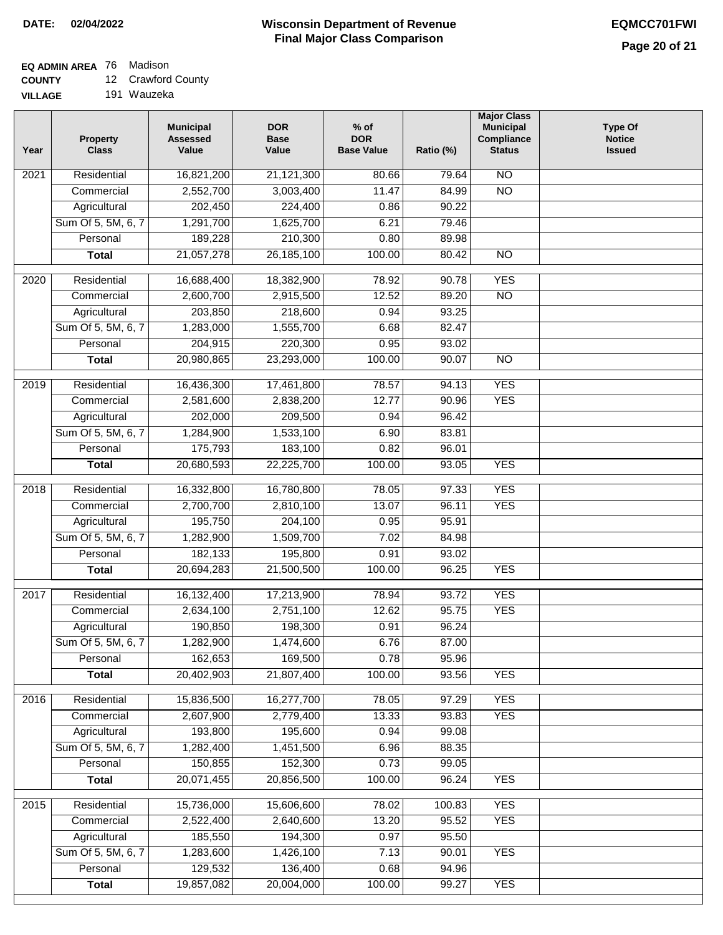## **EQ ADMIN AREA** 76 Madison

**COUNTY** 12 Crawford County

**VILLAGE** 191 Wauzeka

| Year              | <b>Property</b><br><b>Class</b>    | <b>Municipal</b><br><b>Assessed</b><br>Value | <b>DOR</b><br><b>Base</b><br>Value | $%$ of<br><b>DOR</b><br><b>Base Value</b> | Ratio (%)      | <b>Major Class</b><br><b>Municipal</b><br>Compliance<br><b>Status</b> | <b>Type Of</b><br><b>Notice</b><br><b>Issued</b> |
|-------------------|------------------------------------|----------------------------------------------|------------------------------------|-------------------------------------------|----------------|-----------------------------------------------------------------------|--------------------------------------------------|
| 2021              | Residential                        | 16,821,200                                   | 21,121,300                         | 80.66                                     | 79.64          | $\overline{NO}$                                                       |                                                  |
|                   | Commercial                         | 2,552,700                                    | 3,003,400                          | 11.47                                     | 84.99          | $\overline{NO}$                                                       |                                                  |
|                   | Agricultural                       | 202,450                                      | 224,400                            | 0.86                                      | 90.22          |                                                                       |                                                  |
|                   | Sum Of 5, 5M, 6, 7                 | 1,291,700                                    | 1,625,700                          | 6.21                                      | 79.46          |                                                                       |                                                  |
|                   | Personal                           | 189,228                                      | 210,300                            | 0.80                                      | 89.98          |                                                                       |                                                  |
|                   | <b>Total</b>                       | 21,057,278                                   | 26, 185, 100                       | 100.00                                    | 80.42          | $\overline{NO}$                                                       |                                                  |
| 2020              | Residential                        | 16,688,400                                   | 18,382,900                         | 78.92                                     | 90.78          | <b>YES</b>                                                            |                                                  |
|                   | Commercial                         | 2,600,700                                    | 2,915,500                          | 12.52                                     | 89.20          | $\overline{NO}$                                                       |                                                  |
|                   | Agricultural                       | 203,850                                      | 218,600                            | 0.94                                      | 93.25          |                                                                       |                                                  |
|                   | Sum Of 5, 5M, 6, 7                 | 1,283,000                                    | 1,555,700                          | 6.68                                      | 82.47          |                                                                       |                                                  |
|                   | Personal                           | 204,915                                      | 220,300                            | 0.95                                      | 93.02          |                                                                       |                                                  |
|                   | <b>Total</b>                       | 20,980,865                                   | 23,293,000                         | 100.00                                    | 90.07          | $\overline{NO}$                                                       |                                                  |
| $\frac{1}{2019}$  | Residential                        | 16,436,300                                   | 17,461,800                         | 78.57                                     | 94.13          | <b>YES</b>                                                            |                                                  |
|                   | Commercial                         | 2,581,600                                    | 2,838,200                          | 12.77                                     | 90.96          | <b>YES</b>                                                            |                                                  |
|                   | Agricultural                       | 202,000                                      | 209,500                            | 0.94                                      | 96.42          |                                                                       |                                                  |
|                   | Sum Of 5, 5M, 6, 7                 | 1,284,900                                    | 1,533,100                          | 6.90                                      | 83.81          |                                                                       |                                                  |
|                   | Personal                           | 175,793                                      | 183,100                            | 0.82                                      | 96.01          |                                                                       |                                                  |
|                   | <b>Total</b>                       | 20,680,593                                   | 22,225,700                         | 100.00                                    | 93.05          | <b>YES</b>                                                            |                                                  |
|                   |                                    |                                              |                                    |                                           |                |                                                                       |                                                  |
| 2018              | Residential                        | 16,332,800                                   | 16,780,800                         | 78.05                                     | 97.33          | <b>YES</b>                                                            |                                                  |
|                   | Commercial                         | 2,700,700<br>195,750                         | 2,810,100<br>204,100               | 13.07<br>0.95                             | 96.11<br>95.91 | <b>YES</b>                                                            |                                                  |
|                   | Agricultural<br>Sum Of 5, 5M, 6, 7 | 1,282,900                                    | 1,509,700                          | 7.02                                      | 84.98          |                                                                       |                                                  |
|                   | Personal                           | 182,133                                      | 195,800                            | 0.91                                      | 93.02          |                                                                       |                                                  |
|                   | <b>Total</b>                       | 20,694,283                                   | 21,500,500                         | 100.00                                    | 96.25          | <b>YES</b>                                                            |                                                  |
|                   |                                    |                                              |                                    |                                           |                |                                                                       |                                                  |
| $\overline{2017}$ | Residential                        | 16,132,400                                   | 17,213,900                         | 78.94                                     | 93.72          | <b>YES</b>                                                            |                                                  |
|                   | Commercial                         | 2,634,100                                    | 2,751,100                          | 12.62                                     | 95.75          | <b>YES</b>                                                            |                                                  |
|                   | Agricultural                       | 190,850                                      | 198,300                            | 0.91                                      | 96.24          |                                                                       |                                                  |
|                   | Sum Of 5, 5M, 6, 7                 | 1,282,900                                    | 1,474,600                          | 6.76                                      | 87.00          |                                                                       |                                                  |
|                   | Personal                           | 162,653                                      | 169,500                            | 0.78                                      | 95.96          |                                                                       |                                                  |
|                   | <b>Total</b>                       | 20,402,903                                   | 21,807,400                         | 100.00                                    | 93.56          | <b>YES</b>                                                            |                                                  |
| 2016              | Residential                        | 15,836,500                                   | 16,277,700                         | 78.05                                     | 97.29          | <b>YES</b>                                                            |                                                  |
|                   | Commercial                         | 2,607,900                                    | 2,779,400                          | 13.33                                     | 93.83          | <b>YES</b>                                                            |                                                  |
|                   | Agricultural                       | 193,800                                      | 195,600                            | 0.94                                      | 99.08          |                                                                       |                                                  |
|                   | Sum Of 5, 5M, 6, 7                 | 1,282,400                                    | 1,451,500                          | 6.96                                      | 88.35          |                                                                       |                                                  |
|                   | Personal                           | 150,855                                      | 152,300                            | 0.73                                      | 99.05          |                                                                       |                                                  |
|                   | <b>Total</b>                       | 20,071,455                                   | 20,856,500                         | 100.00                                    | 96.24          | <b>YES</b>                                                            |                                                  |
| 2015              | Residential                        | 15,736,000                                   | 15,606,600                         | 78.02                                     | 100.83         | <b>YES</b>                                                            |                                                  |
|                   | Commercial                         | 2,522,400                                    | 2,640,600                          | 13.20                                     | 95.52          | <b>YES</b>                                                            |                                                  |
|                   | Agricultural                       | 185,550                                      | 194,300                            | 0.97                                      | 95.50          |                                                                       |                                                  |
|                   | Sum Of 5, 5M, 6, 7                 | 1,283,600                                    | 1,426,100                          | 7.13                                      | 90.01          | <b>YES</b>                                                            |                                                  |
|                   | Personal                           | 129,532                                      | 136,400                            | 0.68                                      | 94.96          |                                                                       |                                                  |
|                   | <b>Total</b>                       | 19,857,082                                   | 20,004,000                         | 100.00                                    | 99.27          | <b>YES</b>                                                            |                                                  |